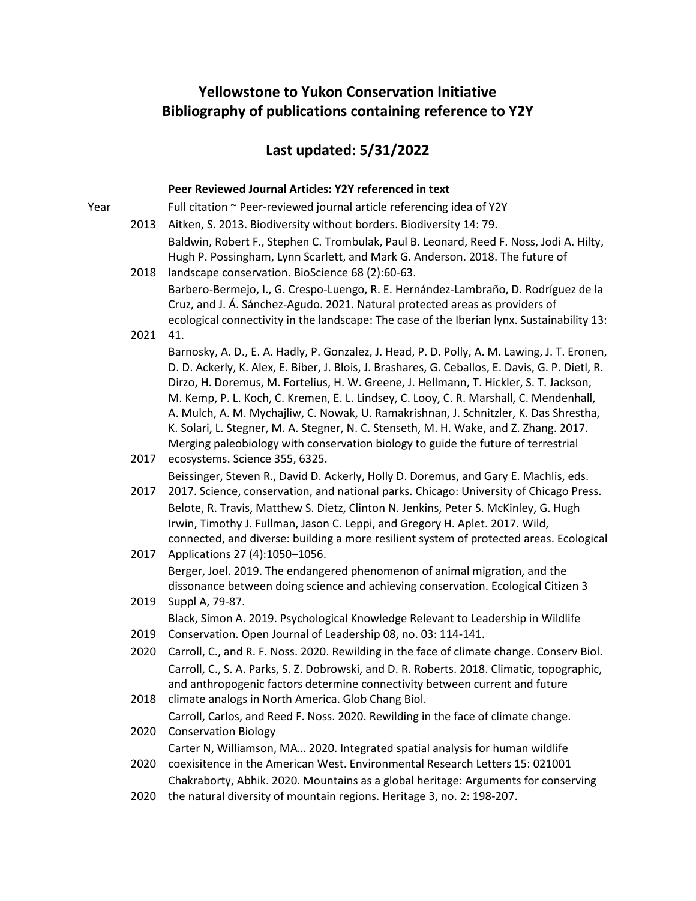# **Yellowstone to Yukon Conservation Initiative Bibliography of publications containing reference to Y2Y**

# **Last updated: 5/31/2022**

### **Peer Reviewed Journal Articles: Y2Y referenced in text**

Year Full citation ~ Peer-reviewed journal article referencing idea of Y2Y 2013 Aitken, S. 2013. Biodiversity without borders. Biodiversity 14: 79. 2018 landscape conservation. BioScience 68 (2):60-63. Baldwin, Robert F., Stephen C. Trombulak, Paul B. Leonard, Reed F. Noss, Jodi A. Hilty, Hugh P. Possingham, Lynn Scarlett, and Mark G. Anderson. 2018. The future of 2021 41. Barbero-Bermejo, I., G. Crespo-Luengo, R. E. Hernández-Lambraño, D. Rodríguez de la Cruz, and J. Á. Sánchez-Agudo. 2021. Natural protected areas as providers of ecological connectivity in the landscape: The case of the Iberian lynx. Sustainability 13: 2017 ecosystems. Science 355, 6325. Barnosky, A. D., E. A. Hadly, P. Gonzalez, J. Head, P. D. Polly, A. M. Lawing, J. T. Eronen, D. D. Ackerly, K. Alex, E. Biber, J. Blois, J. Brashares, G. Ceballos, E. Davis, G. P. Dietl, R. Dirzo, H. Doremus, M. Fortelius, H. W. Greene, J. Hellmann, T. Hickler, S. T. Jackson, M. Kemp, P. L. Koch, C. Kremen, E. L. Lindsey, C. Looy, C. R. Marshall, C. Mendenhall, A. Mulch, A. M. Mychajliw, C. Nowak, U. Ramakrishnan, J. Schnitzler, K. Das Shrestha, K. Solari, L. Stegner, M. A. Stegner, N. C. Stenseth, M. H. Wake, and Z. Zhang. 2017. Merging paleobiology with conservation biology to guide the future of terrestrial 2017 Beissinger, Steven R., David D. Ackerly, Holly D. Doremus, and Gary E. Machlis, eds. 2017. Science, conservation, and national parks. Chicago: University of Chicago Press. 2017 Applications 27 (4):1050–1056. Belote, R. Travis, Matthew S. Dietz, Clinton N. Jenkins, Peter S. McKinley, G. Hugh Irwin, Timothy J. Fullman, Jason C. Leppi, and Gregory H. Aplet. 2017. Wild, connected, and diverse: building a more resilient system of protected areas. Ecological 2019 Suppl A, 79-87. Berger, Joel. 2019. The endangered phenomenon of animal migration, and the dissonance between doing science and achieving conservation. Ecological Citizen 3 2019 Conservation. Open Journal of Leadership 08, no. 03: 114-141. Black, Simon A. 2019. Psychological Knowledge Relevant to Leadership in Wildlife 2020 Carroll, C., and R. F. Noss. 2020. Rewilding in the face of climate change. Conserv Biol. 2018 climate analogs in North America. Glob Chang Biol. Carroll, C., S. A. Parks, S. Z. Dobrowski, and D. R. Roberts. 2018. Climatic, topographic, and anthropogenic factors determine connectivity between current and future 2020 Conservation Biology Carroll, Carlos, and Reed F. Noss. 2020. Rewilding in the face of climate change. 2020 coexisitence in the American West. Environmental Research Letters 15: 021001 Carter N, Williamson, MA… 2020. Integrated spatial analysis for human wildlife 2020 the natural diversity of mountain regions. Heritage 3, no. 2: 198-207.Chakraborty, Abhik. 2020. Mountains as a global heritage: Arguments for conserving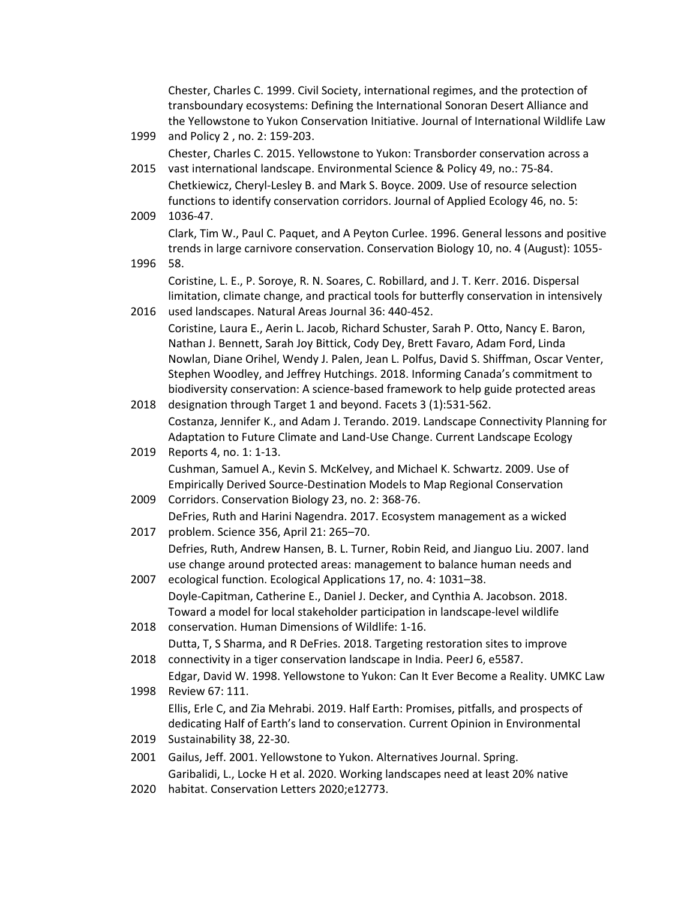|      | Chester, Charles C. 1999. Civil Society, international regimes, and the protection of     |
|------|-------------------------------------------------------------------------------------------|
|      | transboundary ecosystems: Defining the International Sonoran Desert Alliance and          |
|      | the Yellowstone to Yukon Conservation Initiative. Journal of International Wildlife Law   |
| 1999 | and Policy 2, no. 2: 159-203.                                                             |
|      | Chester, Charles C. 2015. Yellowstone to Yukon: Transborder conservation across a         |
| 2015 | vast international landscape. Environmental Science & Policy 49, no.: 75-84.              |
|      | Chetkiewicz, Cheryl-Lesley B. and Mark S. Boyce. 2009. Use of resource selection          |
|      | functions to identify conservation corridors. Journal of Applied Ecology 46, no. 5:       |
| 2009 | 1036-47.                                                                                  |
|      | Clark, Tim W., Paul C. Paquet, and A Peyton Curlee. 1996. General lessons and positive    |
|      | trends in large carnivore conservation. Conservation Biology 10, no. 4 (August): 1055-    |
| 1996 | 58.                                                                                       |
|      | Coristine, L. E., P. Soroye, R. N. Soares, C. Robillard, and J. T. Kerr. 2016. Dispersal  |
|      | limitation, climate change, and practical tools for butterfly conservation in intensively |
| 2016 | used landscapes. Natural Areas Journal 36: 440-452.                                       |
|      | Coristine, Laura E., Aerin L. Jacob, Richard Schuster, Sarah P. Otto, Nancy E. Baron,     |
|      | Nathan J. Bennett, Sarah Joy Bittick, Cody Dey, Brett Favaro, Adam Ford, Linda            |
|      | Nowlan, Diane Orihel, Wendy J. Palen, Jean L. Polfus, David S. Shiffman, Oscar Venter,    |
|      | Stephen Woodley, and Jeffrey Hutchings. 2018. Informing Canada's commitment to            |
|      | biodiversity conservation: A science-based framework to help guide protected areas        |
| 2018 | designation through Target 1 and beyond. Facets 3 (1):531-562.                            |
|      | Costanza, Jennifer K., and Adam J. Terando. 2019. Landscape Connectivity Planning for     |
|      | Adaptation to Future Climate and Land-Use Change. Current Landscape Ecology               |
| 2019 | Reports 4, no. 1: 1-13.                                                                   |
|      | Cushman, Samuel A., Kevin S. McKelvey, and Michael K. Schwartz. 2009. Use of              |
|      | Empirically Derived Source-Destination Models to Map Regional Conservation                |
| 2009 | Corridors. Conservation Biology 23, no. 2: 368-76.                                        |
|      | DeFries, Ruth and Harini Nagendra. 2017. Ecosystem management as a wicked                 |
| 2017 | problem. Science 356, April 21: 265-70.                                                   |
|      | Defries, Ruth, Andrew Hansen, B. L. Turner, Robin Reid, and Jianguo Liu. 2007. land       |
|      | use change around protected areas: management to balance human needs and                  |
| 2007 | ecological function. Ecological Applications 17, no. 4: 1031-38.                          |
|      | Doyle-Capitman, Catherine E., Daniel J. Decker, and Cynthia A. Jacobson. 2018.            |
|      | Toward a model for local stakeholder participation in landscape-level wildlife            |
| 2018 | conservation. Human Dimensions of Wildlife: 1-16.                                         |
|      | Dutta, T, S Sharma, and R DeFries. 2018. Targeting restoration sites to improve           |
| 2018 | connectivity in a tiger conservation landscape in India. PeerJ 6, e5587.                  |
|      | Edgar, David W. 1998. Yellowstone to Yukon: Can It Ever Become a Reality. UMKC Law        |
| 1998 | Review 67: 111.                                                                           |
|      | Ellis, Erle C, and Zia Mehrabi. 2019. Half Earth: Promises, pitfalls, and prospects of    |
|      | dedicating Half of Earth's land to conservation. Current Opinion in Environmental         |
| 2019 | Sustainability 38, 22-30.                                                                 |
| 2001 |                                                                                           |
|      | Gailus, Jeff. 2001. Yellowstone to Yukon. Alternatives Journal. Spring.                   |
|      | Garibalidi, L., Locke H et al. 2020. Working landscapes need at least 20% native          |
| 2020 | habitat. Conservation Letters 2020;e12773.                                                |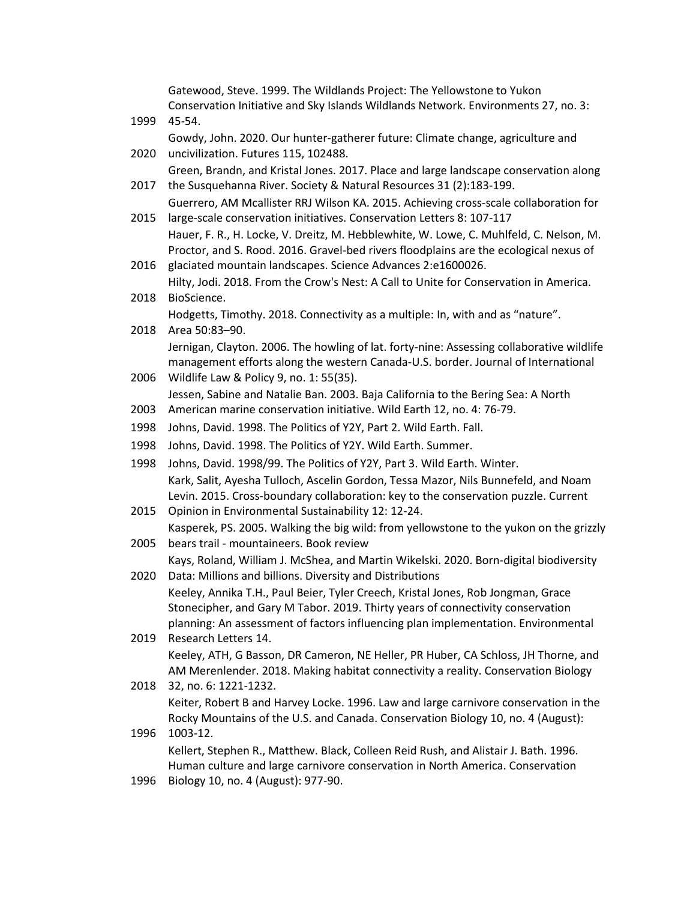Gatewood, Steve. 1999. The Wildlands Project: The Yellowstone to Yukon Conservation Initiative and Sky Islands Wildlands Network. Environments 27, no. 3:

- 1999 45-54. 2020 uncivilization. Futures 115, 102488. Gowdy, John. 2020. Our hunter-gatherer future: Climate change, agriculture and Green, Brandn, and Kristal Jones. 2017. Place and large landscape conservation along
- 2017 the Susquehanna River. Society & Natural Resources 31 (2):183-199. Guerrero, AM Mcallister RRJ Wilson KA. 2015. Achieving cross-scale collaboration for
- 2015 large-scale conservation initiatives. Conservation Letters 8: 107-117 Hauer, F. R., H. Locke, V. Dreitz, M. Hebblewhite, W. Lowe, C. Muhlfeld, C. Nelson, M. Proctor, and S. Rood. 2016. Gravel-bed rivers floodplains are the ecological nexus of
- 2016 glaciated mountain landscapes. Science Advances 2:e1600026. Hilty, Jodi. 2018. From the Crow's Nest: A Call to Unite for Conservation in America.
- 2018 BioScience. Hodgetts, Timothy. 2018. Connectivity as a multiple: In, with and as "nature".
- 2018 Area 50:83–90. Jernigan, Clayton. 2006. The howling of lat. forty-nine: Assessing collaborative wildlife management efforts along the western Canada-U.S. border. Journal of International
- 2006 Wildlife Law & Policy 9, no. 1: 55(35). Jessen, Sabine and Natalie Ban. 2003. Baja California to the Bering Sea: A North
- 2003 American marine conservation initiative. Wild Earth 12, no. 4: 76-79.
- 1998 Johns, David. 1998. The Politics of Y2Y, Part 2. Wild Earth. Fall.
- 1998 Johns, David. 1998. The Politics of Y2Y. Wild Earth. Summer.
- 1998 Johns, David. 1998/99. The Politics of Y2Y, Part 3. Wild Earth. Winter. Kark, Salit, Ayesha Tulloch, Ascelin Gordon, Tessa Mazor, Nils Bunnefeld, and Noam Levin. 2015. Cross-boundary collaboration: key to the conservation puzzle. Current
- 2015 Opinion in Environmental Sustainability 12: 12-24. Kasperek, PS. 2005. Walking the big wild: from yellowstone to the yukon on the grizzly
- 2005 bears trail - mountaineers. Book review Kays, Roland, William J. McShea, and Martin Wikelski. 2020. Born-digital biodiversity
- 2020 Data: Millions and billions. Diversity and Distributions Keeley, Annika T.H., Paul Beier, Tyler Creech, Kristal Jones, Rob Jongman, Grace Stonecipher, and Gary M Tabor. 2019. Thirty years of connectivity conservation planning: An assessment of factors influencing plan implementation. Environmental
- 2019 Research Letters 14. Keeley, ATH, G Basson, DR Cameron, NE Heller, PR Huber, CA Schloss, JH Thorne, and AM Merenlender. 2018. Making habitat connectivity a reality. Conservation Biology
- 2018 32, no. 6: 1221-1232. Keiter, Robert B and Harvey Locke. 1996. Law and large carnivore conservation in the Rocky Mountains of the U.S. and Canada. Conservation Biology 10, no. 4 (August):
- 1996 1003-12. Kellert, Stephen R., Matthew. Black, Colleen Reid Rush, and Alistair J. Bath. 1996. Human culture and large carnivore conservation in North America. Conservation
- 1996 Biology 10, no. 4 (August): 977-90.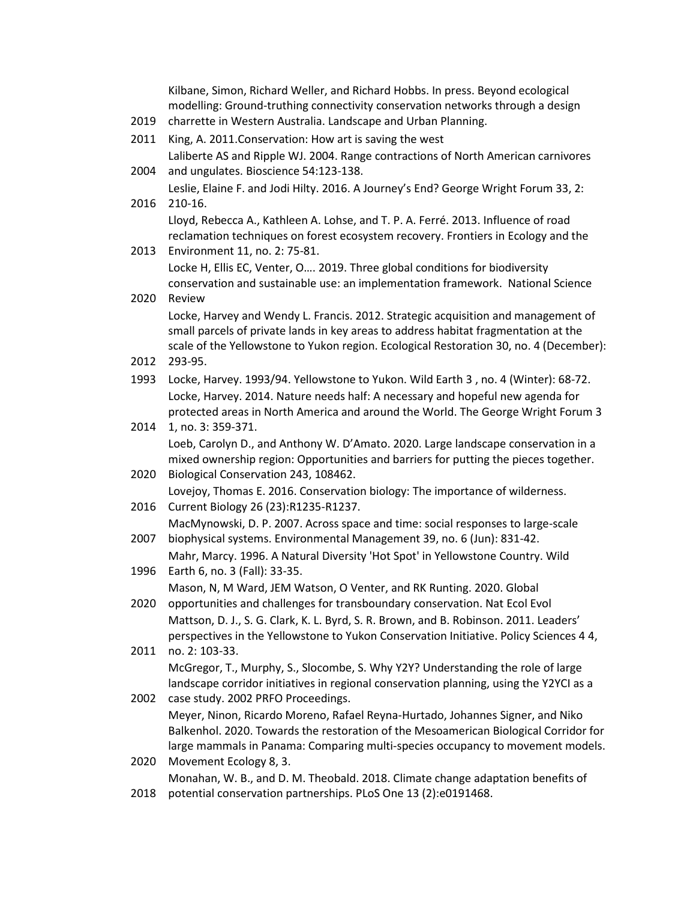Kilbane, Simon, Richard Weller, and Richard Hobbs. In press. Beyond ecological modelling: Ground-truthing connectivity conservation networks through a design

- 2019 charrette in Western Australia. Landscape and Urban Planning.
- 2011 King, A. 2011.Conservation: How art is saving the west

2004 and ungulates. Bioscience 54:123-138. Laliberte AS and Ripple WJ. 2004. Range contractions of North American carnivores

2016 210-16. Leslie, Elaine F. and Jodi Hilty. 2016. A Journey's End? George Wright Forum 33, 2:

Lloyd, Rebecca A., Kathleen A. Lohse, and T. P. A. Ferré. 2013. Influence of road reclamation techniques on forest ecosystem recovery. Frontiers in Ecology and the

2013 Environment 11, no. 2: 75-81.

Locke H, Ellis EC, Venter, O…. 2019. Three global conditions for biodiversity conservation and sustainable use: an implementation framework. National Science

2020 Review

Locke, Harvey and Wendy L. Francis. 2012. Strategic acquisition and management of small parcels of private lands in key areas to address habitat fragmentation at the scale of the Yellowstone to Yukon region. Ecological Restoration 30, no. 4 (December):

- 2012 293-95.
- 1993 Locke, Harvey. 1993/94. Yellowstone to Yukon. Wild Earth 3 , no. 4 (Winter): 68-72. Locke, Harvey. 2014. Nature needs half: A necessary and hopeful new agenda for protected areas in North America and around the World. The George Wright Forum 3
- 2014 1, no. 3: 359-371. Loeb, Carolyn D., and Anthony W. D'Amato. 2020. Large landscape conservation in a mixed ownership region: Opportunities and barriers for putting the pieces together.
- 2020 Biological Conservation 243, 108462. Lovejoy, Thomas E. 2016. Conservation biology: The importance of wilderness.
- 2016 Current Biology 26 (23):R1235-R1237.
- 2007 MacMynowski, D. P. 2007. Across space and time: social responses to large-scale biophysical systems. Environmental Management 39, no. 6 (Jun): 831-42.

1996 Earth 6, no. 3 (Fall): 33-35. Mahr, Marcy. 1996. A Natural Diversity 'Hot Spot' in Yellowstone Country. Wild

Mason, N, M Ward, JEM Watson, O Venter, and RK Runting. 2020. Global

- 2020 opportunities and challenges for transboundary conservation. Nat Ecol Evol Mattson, D. J., S. G. Clark, K. L. Byrd, S. R. Brown, and B. Robinson. 2011. Leaders' perspectives in the Yellowstone to Yukon Conservation Initiative. Policy Sciences 4 4,
- 2011 no. 2: 103-33. McGregor, T., Murphy, S., Slocombe, S. Why Y2Y? Understanding the role of large landscape corridor initiatives in regional conservation planning, using the Y2YCI as a
- 2002 case study. 2002 PRFO Proceedings. Meyer, Ninon, Ricardo Moreno, Rafael Reyna-Hurtado, Johannes Signer, and Niko Balkenhol. 2020. Towards the restoration of the Mesoamerican Biological Corridor for large mammals in Panama: Comparing multi-species occupancy to movement models.
- 2020 Movement Ecology 8, 3. Monahan, W. B., and D. M. Theobald. 2018. Climate change adaptation benefits of
- 2018 potential conservation partnerships. PLoS One 13 (2):e0191468.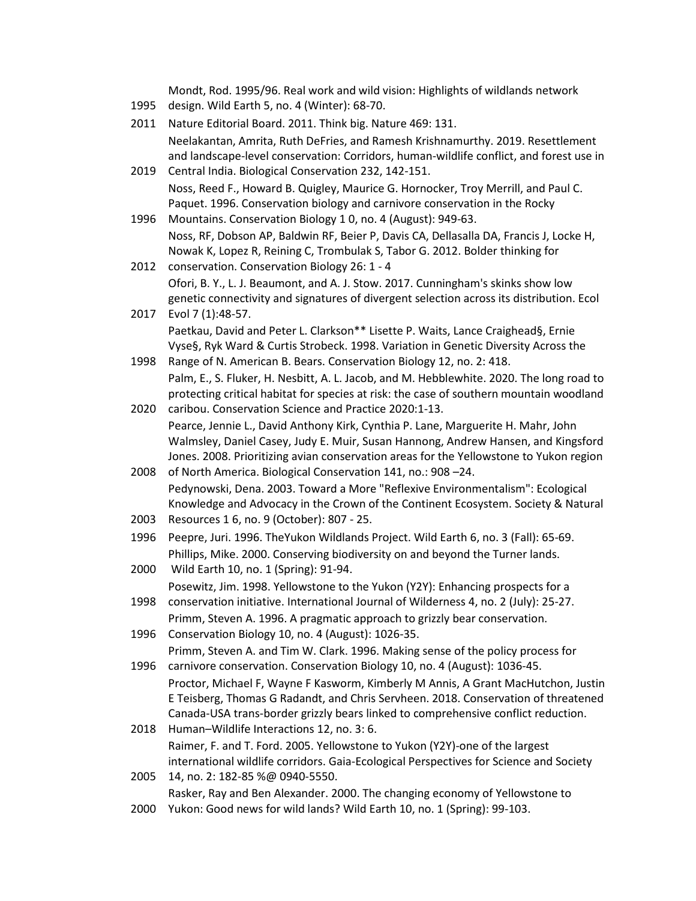Mondt, Rod. 1995/96. Real work and wild vision: Highlights of wildlands network

- 1995 design. Wild Earth 5, no. 4 (Winter): 68-70.
- 2011 Nature Editorial Board. 2011. Think big. Nature 469: 131. Neelakantan, Amrita, Ruth DeFries, and Ramesh Krishnamurthy. 2019. Resettlement and landscape-level conservation: Corridors, human-wildlife conflict, and forest use in
- 2019 Central India. Biological Conservation 232, 142-151. Noss, Reed F., Howard B. Quigley, Maurice G. Hornocker, Troy Merrill, and Paul C. Paquet. 1996. Conservation biology and carnivore conservation in the Rocky
- 1996 Mountains. Conservation Biology 1 0, no. 4 (August): 949-63. Noss, RF, Dobson AP, Baldwin RF, Beier P, Davis CA, Dellasalla DA, Francis J, Locke H, Nowak K, Lopez R, Reining C, Trombulak S, Tabor G. 2012. Bolder thinking for
- 2012 conservation. Conservation Biology 26: 1 4 Ofori, B. Y., L. J. Beaumont, and A. J. Stow. 2017. Cunningham's skinks show low genetic connectivity and signatures of divergent selection across its distribution. Ecol
- 2017 Evol 7 (1):48-57. Paetkau, David and Peter L. Clarkson\*\* Lisette P. Waits, Lance Craighead§, Ernie Vyse§, Ryk Ward & Curtis Strobeck. 1998. Variation in Genetic Diversity Across the
- 1998 Range of N. American B. Bears. Conservation Biology 12, no. 2: 418. Palm, E., S. Fluker, H. Nesbitt, A. L. Jacob, and M. Hebblewhite. 2020. The long road to protecting critical habitat for species at risk: the case of southern mountain woodland
- 2020 caribou. Conservation Science and Practice 2020:1-13. Pearce, Jennie L., David Anthony Kirk, Cynthia P. Lane, Marguerite H. Mahr, John Walmsley, Daniel Casey, Judy E. Muir, Susan Hannong, Andrew Hansen, and Kingsford Jones. 2008. Prioritizing avian conservation areas for the Yellowstone to Yukon region
- 2008 of North America. Biological Conservation 141, no.: 908 –24. Pedynowski, Dena. 2003. Toward a More "Reflexive Environmentalism": Ecological Knowledge and Advocacy in the Crown of the Continent Ecosystem. Society & Natural
- 2003 Resources 1 6, no. 9 (October): 807 25.
- 1996 Peepre, Juri. 1996. TheYukon Wildlands Project. Wild Earth 6, no. 3 (Fall): 65-69. Phillips, Mike. 2000. Conserving biodiversity on and beyond the Turner lands.
- 2000 Wild Earth 10, no. 1 (Spring): 91-94. Posewitz, Jim. 1998. Yellowstone to the Yukon (Y2Y): Enhancing prospects for a
- 1998 conservation initiative. International Journal of Wilderness 4, no. 2 (July): 25-27. Primm, Steven A. 1996. A pragmatic approach to grizzly bear conservation.
- 1996 Conservation Biology 10, no. 4 (August): 1026-35. Primm, Steven A. and Tim W. Clark. 1996. Making sense of the policy process for
- 1996 carnivore conservation. Conservation Biology 10, no. 4 (August): 1036-45. Proctor, Michael F, Wayne F Kasworm, Kimberly M Annis, A Grant MacHutchon, Justin E Teisberg, Thomas G Radandt, and Chris Servheen. 2018. Conservation of threatened Canada-USA trans-border grizzly bears linked to comprehensive conflict reduction.
- 2018 Human–Wildlife Interactions 12, no. 3: 6. Raimer, F. and T. Ford. 2005. Yellowstone to Yukon (Y2Y)-one of the largest international wildlife corridors. Gaia-Ecological Perspectives for Science and Society
- 2005 14, no. 2: 182-85 %@ 0940-5550. Rasker, Ray and Ben Alexander. 2000. The changing economy of Yellowstone to
- 2000 Yukon: Good news for wild lands? Wild Earth 10, no. 1 (Spring): 99-103.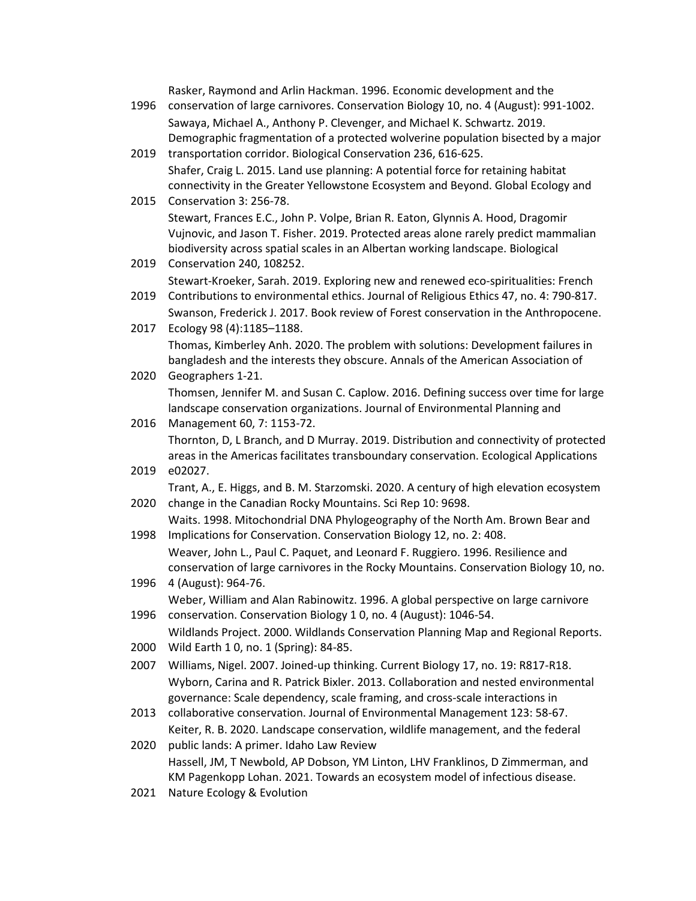Rasker, Raymond and Arlin Hackman. 1996. Economic development and the

- 1996 conservation of large carnivores. Conservation Biology 10, no. 4 (August): 991-1002. Sawaya, Michael A., Anthony P. Clevenger, and Michael K. Schwartz. 2019. Demographic fragmentation of a protected wolverine population bisected by a major
- 2019 transportation corridor. Biological Conservation 236, 616-625. Shafer, Craig L. 2015. Land use planning: A potential force for retaining habitat connectivity in the Greater Yellowstone Ecosystem and Beyond. Global Ecology and
- 2015 Conservation 3: 256-78. Stewart, Frances E.C., John P. Volpe, Brian R. Eaton, Glynnis A. Hood, Dragomir Vujnovic, and Jason T. Fisher. 2019. Protected areas alone rarely predict mammalian biodiversity across spatial scales in an Albertan working landscape. Biological
- 2019 Conservation 240, 108252. Stewart-Kroeker, Sarah. 2019. Exploring new and renewed eco-spiritualities: French
- 2019 Contributions to environmental ethics. Journal of Religious Ethics 47, no. 4: 790-817. Swanson, Frederick J. 2017. Book review of Forest conservation in the Anthropocene.
- 2017 Ecology 98 (4):1185–1188. 2020 Geographers 1-21. Thomas, Kimberley Anh. 2020. The problem with solutions: Development failures in bangladesh and the interests they obscure. Annals of the American Association of
	- Thomsen, Jennifer M. and Susan C. Caplow. 2016. Defining success over time for large landscape conservation organizations. Journal of Environmental Planning and
- 2016 Management 60, 7: 1153-72. Thornton, D, L Branch, and D Murray. 2019. Distribution and connectivity of protected areas in the Americas facilitates transboundary conservation. Ecological Applications
- 2019 e02027. Trant, A., E. Higgs, and B. M. Starzomski. 2020. A century of high elevation ecosystem
- 2020 change in the Canadian Rocky Mountains. Sci Rep 10: 9698. Waits. 1998. Mitochondrial DNA Phylogeography of the North Am. Brown Bear and
- 1998 Implications for Conservation. Conservation Biology 12, no. 2: 408. Weaver, John L., Paul C. Paquet, and Leonard F. Ruggiero. 1996. Resilience and conservation of large carnivores in the Rocky Mountains. Conservation Biology 10, no.
- 1996 4 (August): 964-76. Weber, William and Alan Rabinowitz. 1996. A global perspective on large carnivore
- 1996 conservation. Conservation Biology 1 0, no. 4 (August): 1046-54. Wildlands Project. 2000. Wildlands Conservation Planning Map and Regional Reports.
- 2000 Wild Earth 1 0, no. 1 (Spring): 84-85.
- 2007 Williams, Nigel. 2007. Joined-up thinking. Current Biology 17, no. 19: R817-R18. Wyborn, Carina and R. Patrick Bixler. 2013. Collaboration and nested environmental governance: Scale dependency, scale framing, and cross-scale interactions in
- 2013 collaborative conservation. Journal of Environmental Management 123: 58-67. Keiter, R. B. 2020. Landscape conservation, wildlife management, and the federal
- 2020 public lands: A primer. Idaho Law Review Hassell, JM, T Newbold, AP Dobson, YM Linton, LHV Franklinos, D Zimmerman, and KM Pagenkopp Lohan. 2021. Towards an ecosystem model of infectious disease.
- 2021 Nature Ecology & Evolution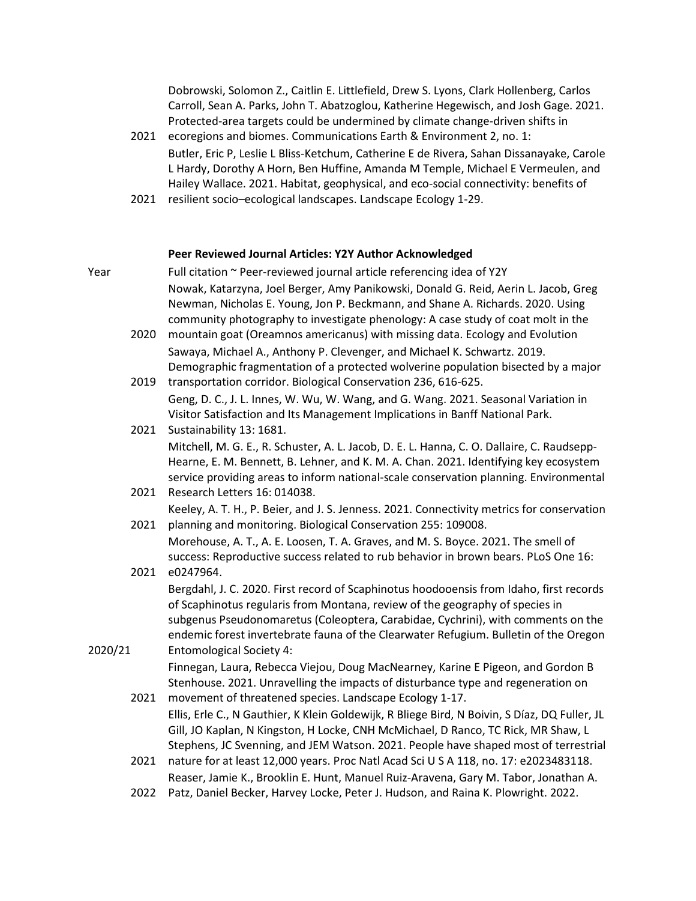Dobrowski, Solomon Z., Caitlin E. Littlefield, Drew S. Lyons, Clark Hollenberg, Carlos Carroll, Sean A. Parks, John T. Abatzoglou, Katherine Hegewisch, and Josh Gage. 2021. Protected-area targets could be undermined by climate change-driven shifts in

- 2021 ecoregions and biomes. Communications Earth & Environment 2, no. 1: Butler, Eric P, Leslie L Bliss-Ketchum, Catherine E de Rivera, Sahan Dissanayake, Carole L Hardy, Dorothy A Horn, Ben Huffine, Amanda M Temple, Michael E Vermeulen, and Hailey Wallace. 2021. Habitat, geophysical, and eco-social connectivity: benefits of
- 2021 resilient socio–ecological landscapes. Landscape Ecology 1-29.

### **Peer Reviewed Journal Articles: Y2Y Author Acknowledged**

- Year Full citation ~ Peer-reviewed journal article referencing idea of Y2Y Nowak, Katarzyna, Joel Berger, Amy Panikowski, Donald G. Reid, Aerin L. Jacob, Greg Newman, Nicholas E. Young, Jon P. Beckmann, and Shane A. Richards. 2020. Using community photography to investigate phenology: A case study of coat molt in the
	- 2020 mountain goat (Oreamnos americanus) with missing data. Ecology and Evolution Sawaya, Michael A., Anthony P. Clevenger, and Michael K. Schwartz. 2019. Demographic fragmentation of a protected wolverine population bisected by a major
	- 2019 transportation corridor. Biological Conservation 236, 616-625. Geng, D. C., J. L. Innes, W. Wu, W. Wang, and G. Wang. 2021. Seasonal Variation in Visitor Satisfaction and Its Management Implications in Banff National Park.
	- 2021 Sustainability 13: 1681. Mitchell, M. G. E., R. Schuster, A. L. Jacob, D. E. L. Hanna, C. O. Dallaire, C. Raudsepp-Hearne, E. M. Bennett, B. Lehner, and K. M. A. Chan. 2021. Identifying key ecosystem service providing areas to inform national-scale conservation planning. Environmental
	- 2021 Research Letters 16: 014038. Keeley, A. T. H., P. Beier, and J. S. Jenness. 2021. Connectivity metrics for conservation
	- 2021 planning and monitoring. Biological Conservation 255: 109008. Morehouse, A. T., A. E. Loosen, T. A. Graves, and M. S. Boyce. 2021. The smell of success: Reproductive success related to rub behavior in brown bears. PLoS One 16:

### 2021 e0247964. 2020/21 Bergdahl, J. C. 2020. First record of Scaphinotus hoodooensis from Idaho, first records of Scaphinotus regularis from Montana, review of the geography of species in subgenus Pseudonomaretus (Coleoptera, Carabidae, Cychrini), with comments on the endemic forest invertebrate fauna of the Clearwater Refugium. Bulletin of the Oregon Entomological Society 4:

- Finnegan, Laura, Rebecca Viejou, Doug MacNearney, Karine E Pigeon, and Gordon B Stenhouse. 2021. Unravelling the impacts of disturbance type and regeneration on
- 2021 movement of threatened species. Landscape Ecology 1-17. Ellis, Erle C., N Gauthier, K Klein Goldewijk, R Bliege Bird, N Boivin, S Díaz, DQ Fuller, JL Gill, JO Kaplan, N Kingston, H Locke, CNH McMichael, D Ranco, TC Rick, MR Shaw, L Stephens, JC Svenning, and JEM Watson. 2021. People have shaped most of terrestrial
- 2021 nature for at least 12,000 years. Proc Natl Acad Sci U S A 118, no. 17: e2023483118. Reaser, Jamie K., Brooklin E. Hunt, Manuel Ruiz-Aravena, Gary M. Tabor, Jonathan A.
- 2022 Patz, Daniel Becker, Harvey Locke, Peter J. Hudson, and Raina K. Plowright. 2022.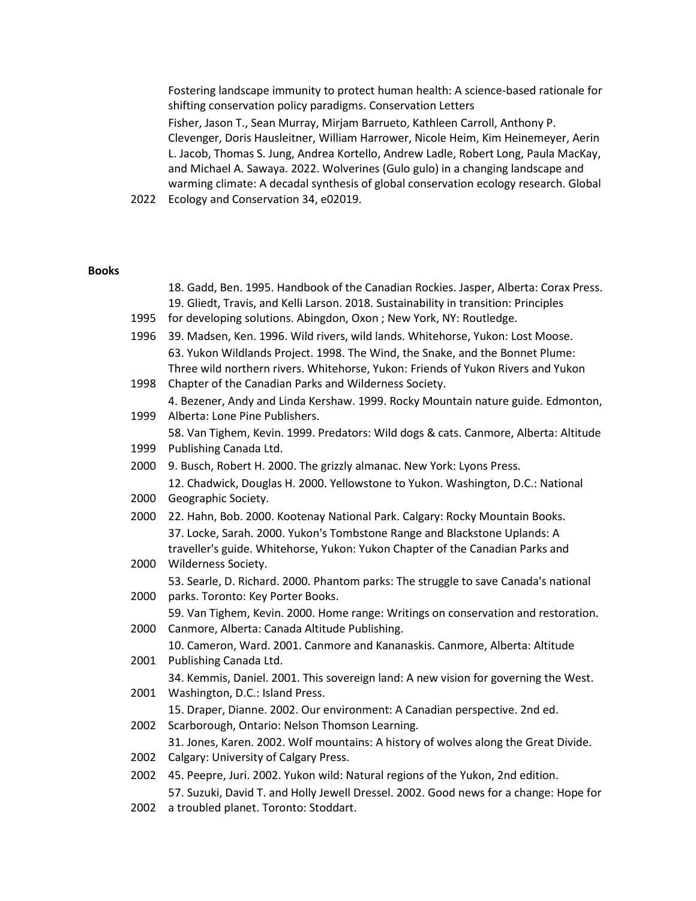Fostering landscape immunity to protect human health: A science-based rationale for shifting conservation policy paradigms. Conservation Letters Fisher, Jason T., Sean Murray, Mirjam Barrueto, Kathleen Carroll, Anthony P. Clevenger, Doris Hausleitner, William Harrower, Nicole Heim, Kim Heinemeyer, Aerin L. Jacob, Thomas S. Jung, Andrea Kortello, Andrew Ladle, Robert Long, Paula MacKay, and Michael A. Sawaya. 2022. Wolverines (Gulo gulo) in a changing landscape and warming climate: A decadal synthesis of global conservation ecology research. Global

2022 Ecology and Conservation 34, e02019.

#### **Books**

- 18. Gadd, Ben. 1995. Handbook of the Canadian Rockies. Jasper, Alberta: Corax Press. 19. Gliedt, Travis, and Kelli Larson. 2018. Sustainability in transition: Principles
- 1995 for developing solutions. Abingdon, Oxon ; New York, NY: Routledge.
- 1996 39. Madsen, Ken. 1996. Wild rivers, wild lands. Whitehorse, Yukon: Lost Moose. 63. Yukon Wildlands Project. 1998. The Wind, the Snake, and the Bonnet Plume: Three wild northern rivers. Whitehorse, Yukon: Friends of Yukon Rivers and Yukon
- 1998 Chapter of the Canadian Parks and Wilderness Society. 4. Bezener, Andy and Linda Kershaw. 1999. Rocky Mountain nature guide. Edmonton,
- 1999 Alberta: Lone Pine Publishers. 58. Van Tighem, Kevin. 1999. Predators: Wild dogs & cats. Canmore, Alberta: Altitude
- 1999 Publishing Canada Ltd.
- 2000 9. Busch, Robert H. 2000. The grizzly almanac. New York: Lyons Press. 12. Chadwick, Douglas H. 2000. Yellowstone to Yukon. Washington, D.C.: National
- 2000 Geographic Society.
- 2000 22. Hahn, Bob. 2000. Kootenay National Park. Calgary: Rocky Mountain Books. 37. Locke, Sarah. 2000. Yukon's Tombstone Range and Blackstone Uplands: A traveller's guide. Whitehorse, Yukon: Yukon Chapter of the Canadian Parks and
- 2000 Wilderness Society. 2000 parks. Toronto: Key Porter Books. 53. Searle, D. Richard. 2000. Phantom parks: The struggle to save Canada's national
- 2000 Canmore, Alberta: Canada Altitude Publishing. 59. Van Tighem, Kevin. 2000. Home range: Writings on conservation and restoration.
- 2001 Publishing Canada Ltd. 10. Cameron, Ward. 2001. Canmore and Kananaskis. Canmore, Alberta: Altitude
- 2001 Washington, D.C.: Island Press. 34. Kemmis, Daniel. 2001. This sovereign land: A new vision for governing the West.
- 15. Draper, Dianne. 2002. Our environment: A Canadian perspective. 2nd ed.
- 2002 Scarborough, Ontario: Nelson Thomson Learning.

31. Jones, Karen. 2002. Wolf mountains: A history of wolves along the Great Divide.

- 2002 Calgary: University of Calgary Press.
- 2002 45. Peepre, Juri. 2002. Yukon wild: Natural regions of the Yukon, 2nd edition. 57. Suzuki, David T. and Holly Jewell Dressel. 2002. Good news for a change: Hope for
- 2002 a troubled planet. Toronto: Stoddart.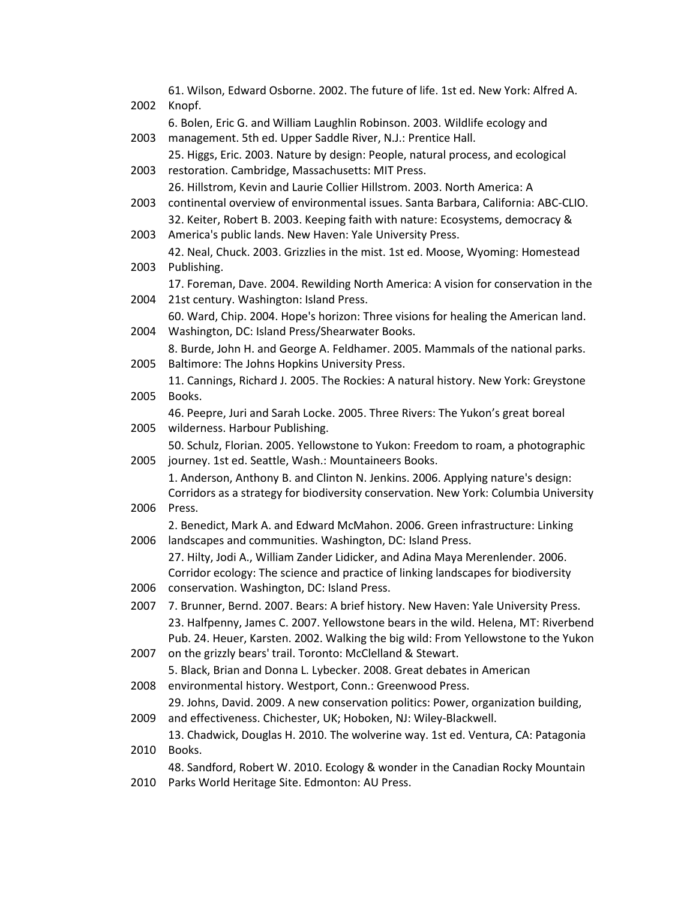| 2002 | 61. Wilson, Edward Osborne. 2002. The future of life. 1st ed. New York: Alfred A.<br>Knopf.                                                    |
|------|------------------------------------------------------------------------------------------------------------------------------------------------|
|      | 6. Bolen, Eric G. and William Laughlin Robinson. 2003. Wildlife ecology and                                                                    |
| 2003 | management. 5th ed. Upper Saddle River, N.J.: Prentice Hall.                                                                                   |
|      | 25. Higgs, Eric. 2003. Nature by design: People, natural process, and ecological                                                               |
| 2003 | restoration. Cambridge, Massachusetts: MIT Press.                                                                                              |
|      | 26. Hillstrom, Kevin and Laurie Collier Hillstrom. 2003. North America: A                                                                      |
| 2003 | continental overview of environmental issues. Santa Barbara, California: ABC-CLIO.                                                             |
| 2003 | 32. Keiter, Robert B. 2003. Keeping faith with nature: Ecosystems, democracy &<br>America's public lands. New Haven: Yale University Press.    |
|      | 42. Neal, Chuck. 2003. Grizzlies in the mist. 1st ed. Moose, Wyoming: Homestead                                                                |
| 2003 | Publishing.                                                                                                                                    |
| 2004 | 17. Foreman, Dave. 2004. Rewilding North America: A vision for conservation in the<br>21st century. Washington: Island Press.                  |
| 2004 | 60. Ward, Chip. 2004. Hope's horizon: Three visions for healing the American land.<br>Washington, DC: Island Press/Shearwater Books.           |
|      | 8. Burde, John H. and George A. Feldhamer. 2005. Mammals of the national parks.                                                                |
| 2005 | Baltimore: The Johns Hopkins University Press.                                                                                                 |
|      | 11. Cannings, Richard J. 2005. The Rockies: A natural history. New York: Greystone                                                             |
| 2005 | Books.                                                                                                                                         |
| 2005 | 46. Peepre, Juri and Sarah Locke. 2005. Three Rivers: The Yukon's great boreal<br>wilderness. Harbour Publishing.                              |
|      | 50. Schulz, Florian. 2005. Yellowstone to Yukon: Freedom to roam, a photographic                                                               |
| 2005 | journey. 1st ed. Seattle, Wash.: Mountaineers Books.                                                                                           |
|      | 1. Anderson, Anthony B. and Clinton N. Jenkins. 2006. Applying nature's design:                                                                |
|      | Corridors as a strategy for biodiversity conservation. New York: Columbia University                                                           |
| 2006 | Press.                                                                                                                                         |
| 2006 | 2. Benedict, Mark A. and Edward McMahon. 2006. Green infrastructure: Linking<br>landscapes and communities. Washington, DC: Island Press.      |
|      | 27. Hilty, Jodi A., William Zander Lidicker, and Adina Maya Merenlender. 2006.                                                                 |
|      | Corridor ecology: The science and practice of linking landscapes for biodiversity                                                              |
| 2006 | conservation. Washington, DC: Island Press.                                                                                                    |
| 2007 | 7. Brunner, Bernd. 2007. Bears: A brief history. New Haven: Yale University Press.                                                             |
|      | 23. Halfpenny, James C. 2007. Yellowstone bears in the wild. Helena, MT: Riverbend                                                             |
|      | Pub. 24. Heuer, Karsten. 2002. Walking the big wild: From Yellowstone to the Yukon                                                             |
| 2007 | on the grizzly bears' trail. Toronto: McClelland & Stewart.                                                                                    |
|      | 5. Black, Brian and Donna L. Lybecker. 2008. Great debates in American                                                                         |
| 2008 | environmental history. Westport, Conn.: Greenwood Press.<br>29. Johns, David. 2009. A new conservation politics: Power, organization building, |
| 2009 | and effectiveness. Chichester, UK; Hoboken, NJ: Wiley-Blackwell.                                                                               |
|      | 13. Chadwick, Douglas H. 2010. The wolverine way. 1st ed. Ventura, CA: Patagonia                                                               |
| 2010 | Books.                                                                                                                                         |
|      | 48. Sandford, Robert W. 2010. Ecology & wonder in the Canadian Rocky Mountain                                                                  |
| 2010 | Parks World Heritage Site. Edmonton: AU Press.                                                                                                 |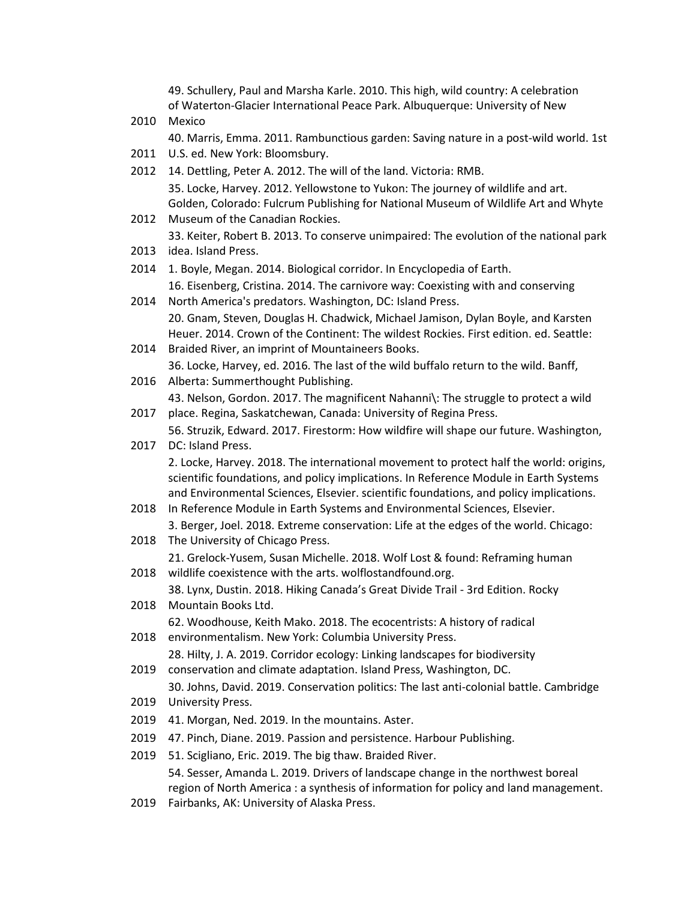49. Schullery, Paul and Marsha Karle. 2010. This high, wild country: A celebration of Waterton-Glacier International Peace Park. Albuquerque: University of New

2010 Mexico

40. Marris, Emma. 2011. Rambunctious garden: Saving nature in a post-wild world. 1st

- 2011 U.S. ed. New York: Bloomsbury.
- 2012 14. Dettling, Peter A. 2012. The will of the land. Victoria: RMB. 35. Locke, Harvey. 2012. Yellowstone to Yukon: The journey of wildlife and art. Golden, Colorado: Fulcrum Publishing for National Museum of Wildlife Art and Whyte
- 2012 Museum of the Canadian Rockies.

33. Keiter, Robert B. 2013. To conserve unimpaired: The evolution of the national park

- 2013 idea. Island Press.
- 2014 1. Boyle, Megan. 2014. Biological corridor. In Encyclopedia of Earth. 16. Eisenberg, Cristina. 2014. The carnivore way: Coexisting with and conserving
- 2014 North America's predators. Washington, DC: Island Press. 20. Gnam, Steven, Douglas H. Chadwick, Michael Jamison, Dylan Boyle, and Karsten Heuer. 2014. Crown of the Continent: The wildest Rockies. First edition. ed. Seattle:
- 2014 Braided River, an imprint of Mountaineers Books. 36. Locke, Harvey, ed. 2016. The last of the wild buffalo return to the wild. Banff,
- 2016 Alberta: Summerthought Publishing. 43. Nelson, Gordon. 2017. The magnificent Nahanni\: The struggle to protect a wild
- 2017 place. Regina, Saskatchewan, Canada: University of Regina Press.
- 2017 DC: Island Press. 56. Struzik, Edward. 2017. Firestorm: How wildfire will shape our future. Washington, 2. Locke, Harvey. 2018. The international movement to protect half the world: origins,

scientific foundations, and policy implications. In Reference Module in Earth Systems and Environmental Sciences, Elsevier. scientific foundations, and policy implications.

- 2018 In Reference Module in Earth Systems and Environmental Sciences, Elsevier. 3. Berger, Joel. 2018. Extreme conservation: Life at the edges of the world. Chicago:
- 2018 The University of Chicago Press.

2018 wildlife coexistence with the arts. wolflostandfound.org. 21. Grelock-Yusem, Susan Michelle. 2018. Wolf Lost & found: Reframing human

38. Lynx, Dustin. 2018. Hiking Canada's Great Divide Trail - 3rd Edition. Rocky

- 2018 Mountain Books Ltd. 62. Woodhouse, Keith Mako. 2018. The ecocentrists: A history of radical
- 2018 environmentalism. New York: Columbia University Press.
	- 28. Hilty, J. A. 2019. Corridor ecology: Linking landscapes for biodiversity
- 2019 conservation and climate adaptation. Island Press, Washington, DC.

2019 University Press. 30. Johns, David. 2019. Conservation politics: The last anti-colonial battle. Cambridge

- 2019 41. Morgan, Ned. 2019. In the mountains. Aster.
- 2019 47. Pinch, Diane. 2019. Passion and persistence. Harbour Publishing.
- 2019 51. Scigliano, Eric. 2019. The big thaw. Braided River. 54. Sesser, Amanda L. 2019. Drivers of landscape change in the northwest boreal region of North America : a synthesis of information for policy and land management.
- 2019 Fairbanks, AK: University of Alaska Press.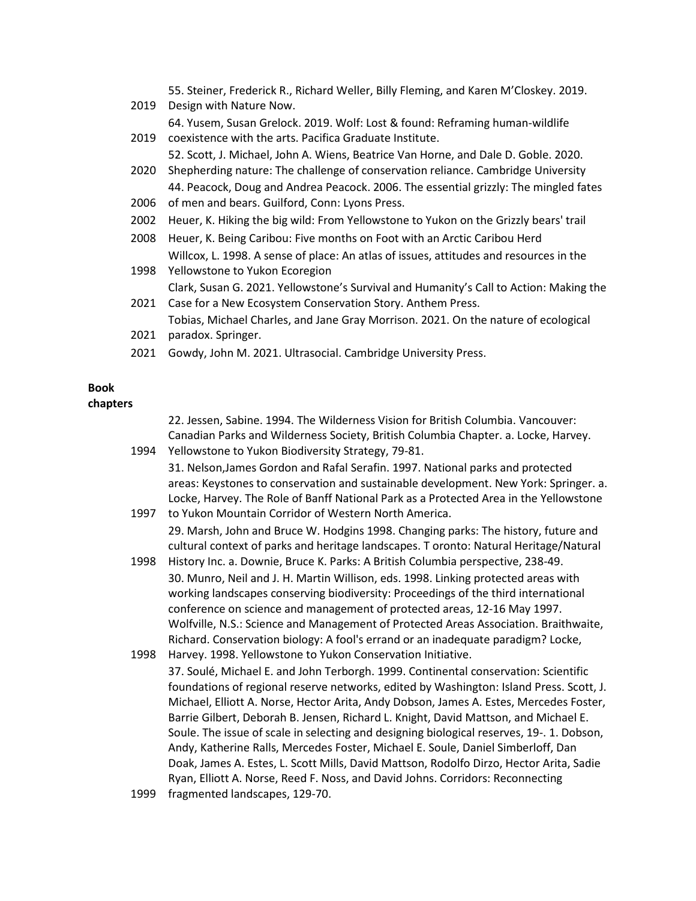55. Steiner, Frederick R., Richard Weller, Billy Fleming, and Karen M'Closkey. 2019.

- 2019 Design with Nature Now.
- 2019 coexistence with the arts. Pacifica Graduate Institute. 64. Yusem, Susan Grelock. 2019. Wolf: Lost & found: Reframing human-wildlife
- 52. Scott, J. Michael, John A. Wiens, Beatrice Van Horne, and Dale D. Goble. 2020.
- 2020 Shepherding nature: The challenge of conservation reliance. Cambridge University 44. Peacock, Doug and Andrea Peacock. 2006. The essential grizzly: The mingled fates
- 2006 of men and bears. Guilford, Conn: Lyons Press.
- 2002 Heuer, K. Hiking the big wild: From Yellowstone to Yukon on the Grizzly bears' trail
- 2008 Heuer, K. Being Caribou: Five months on Foot with an Arctic Caribou Herd Willcox, L. 1998. A sense of place: An atlas of issues, attitudes and resources in the
- 1998 Yellowstone to Yukon Ecoregion Clark, Susan G. 2021. Yellowstone's Survival and Humanity's Call to Action: Making the
- 2021 Case for a New Ecosystem Conservation Story. Anthem Press. Tobias, Michael Charles, and Jane Gray Morrison. 2021. On the nature of ecological
- 2021 paradox. Springer.
- 2021 Gowdy, John M. 2021. Ultrasocial. Cambridge University Press.

# **Book**

**chapters**

1994 Yellowstone to Yukon Biodiversity Strategy, 79-81. 22. Jessen, Sabine. 1994. The Wilderness Vision for British Columbia. Vancouver: Canadian Parks and Wilderness Society, British Columbia Chapter. a. Locke, Harvey.

31. Nelson,James Gordon and Rafal Serafin. 1997. National parks and protected areas: Keystones to conservation and sustainable development. New York: Springer. a. Locke, Harvey. The Role of Banff National Park as a Protected Area in the Yellowstone

- 1997 to Yukon Mountain Corridor of Western North America. 29. Marsh, John and Bruce W. Hodgins 1998. Changing parks: The history, future and cultural context of parks and heritage landscapes. T oronto: Natural Heritage/Natural
- 1998 History Inc. a. Downie, Bruce K. Parks: A British Columbia perspective, 238-49. 30. Munro, Neil and J. H. Martin Willison, eds. 1998. Linking protected areas with working landscapes conserving biodiversity: Proceedings of the third international conference on science and management of protected areas, 12-16 May 1997. Wolfville, N.S.: Science and Management of Protected Areas Association. Braithwaite, Richard. Conservation biology: A fool's errand or an inadequate paradigm? Locke,
- 1998 Harvey. 1998. Yellowstone to Yukon Conservation Initiative.
- 37. Soulé, Michael E. and John Terborgh. 1999. Continental conservation: Scientific foundations of regional reserve networks, edited by Washington: Island Press. Scott, J. Michael, Elliott A. Norse, Hector Arita, Andy Dobson, James A. Estes, Mercedes Foster, Barrie Gilbert, Deborah B. Jensen, Richard L. Knight, David Mattson, and Michael E. Soule. The issue of scale in selecting and designing biological reserves, 19-. 1. Dobson, Andy, Katherine Ralls, Mercedes Foster, Michael E. Soule, Daniel Simberloff, Dan Doak, James A. Estes, L. Scott Mills, David Mattson, Rodolfo Dirzo, Hector Arita, Sadie Ryan, Elliott A. Norse, Reed F. Noss, and David Johns. Corridors: Reconnecting
- 1999 fragmented landscapes, 129-70.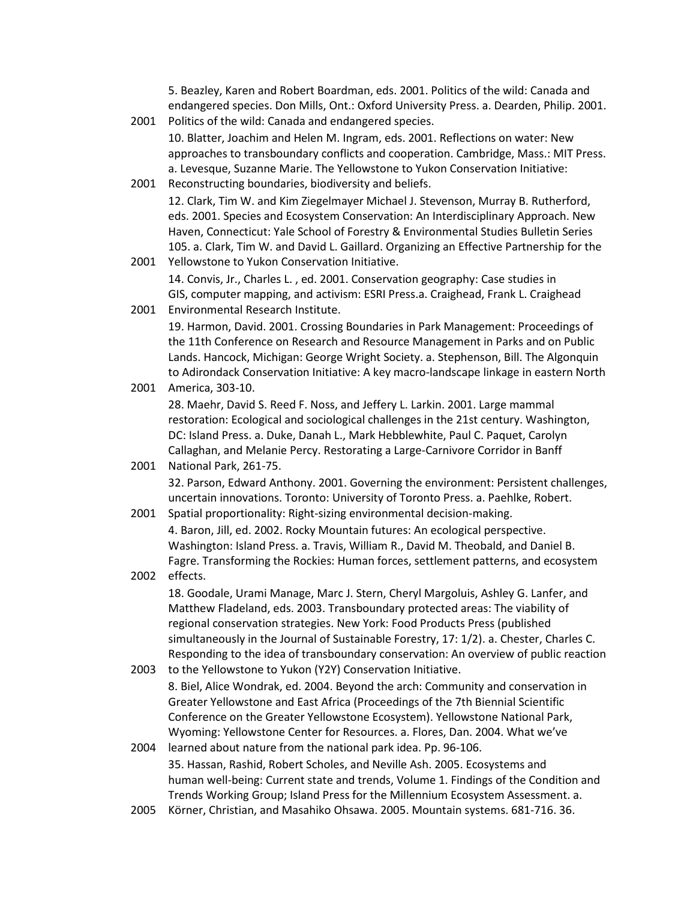5. Beazley, Karen and Robert Boardman, eds. 2001. Politics of the wild: Canada and endangered species. Don Mills, Ont.: Oxford University Press. a. Dearden, Philip. 2001.

- 2001 Politics of the wild: Canada and endangered species. 10. Blatter, Joachim and Helen M. Ingram, eds. 2001. Reflections on water: New approaches to transboundary conflicts and cooperation. Cambridge, Mass.: MIT Press. a. Levesque, Suzanne Marie. The Yellowstone to Yukon Conservation Initiative:
- 2001 Reconstructing boundaries, biodiversity and beliefs. 12. Clark, Tim W. and Kim Ziegelmayer Michael J. Stevenson, Murray B. Rutherford, eds. 2001. Species and Ecosystem Conservation: An Interdisciplinary Approach. New Haven, Connecticut: Yale School of Forestry & Environmental Studies Bulletin Series 105. a. Clark, Tim W. and David L. Gaillard. Organizing an Effective Partnership for the
- 2001 Yellowstone to Yukon Conservation Initiative. 14. Convis, Jr., Charles L. , ed. 2001. Conservation geography: Case studies in GIS, computer mapping, and activism: ESRI Press.a. Craighead, Frank L. Craighead
- 2001 Environmental Research Institute. 19. Harmon, David. 2001. Crossing Boundaries in Park Management: Proceedings of

the 11th Conference on Research and Resource Management in Parks and on Public Lands. Hancock, Michigan: George Wright Society. a. Stephenson, Bill. The Algonquin to Adirondack Conservation Initiative: A key macro-landscape linkage in eastern North

- 2001 America, 303-10. 2001 National Park, 261-75. 28. Maehr, David S. Reed F. Noss, and Jeffery L. Larkin. 2001. Large mammal restoration: Ecological and sociological challenges in the 21st century. Washington, DC: Island Press. a. Duke, Danah L., Mark Hebblewhite, Paul C. Paquet, Carolyn Callaghan, and Melanie Percy. Restorating a Large-Carnivore Corridor in Banff
	- 32. Parson, Edward Anthony. 2001. Governing the environment: Persistent challenges, uncertain innovations. Toronto: University of Toronto Press. a. Paehlke, Robert.
- 2001 Spatial proportionality: Right-sizing environmental decision-making. 4. Baron, Jill, ed. 2002. Rocky Mountain futures: An ecological perspective. Washington: Island Press. a. Travis, William R., David M. Theobald, and Daniel B. Fagre. Transforming the Rockies: Human forces, settlement patterns, and ecosystem
- 2002 effects. 18. Goodale, Urami Manage, Marc J. Stern, Cheryl Margoluis, Ashley G. Lanfer, and Matthew Fladeland, eds. 2003. Transboundary protected areas: The viability of regional conservation strategies. New York: Food Products Press (published simultaneously in the Journal of Sustainable Forestry, 17: 1/2). a. Chester, Charles C. Responding to the idea of transboundary conservation: An overview of public reaction
- 2003 to the Yellowstone to Yukon (Y2Y) Conservation Initiative. 8. Biel, Alice Wondrak, ed. 2004. Beyond the arch: Community and conservation in Greater Yellowstone and East Africa (Proceedings of the 7th Biennial Scientific Conference on the Greater Yellowstone Ecosystem). Yellowstone National Park, Wyoming: Yellowstone Center for Resources. a. Flores, Dan. 2004. What we've
- 2004 learned about nature from the national park idea. Pp. 96-106. 35. Hassan, Rashid, Robert Scholes, and Neville Ash. 2005. Ecosystems and human well-being: Current state and trends, Volume 1. Findings of the Condition and Trends Working Group; Island Press for the Millennium Ecosystem Assessment. a.
- 2005 Körner, Christian, and Masahiko Ohsawa. 2005. Mountain systems. 681-716. 36.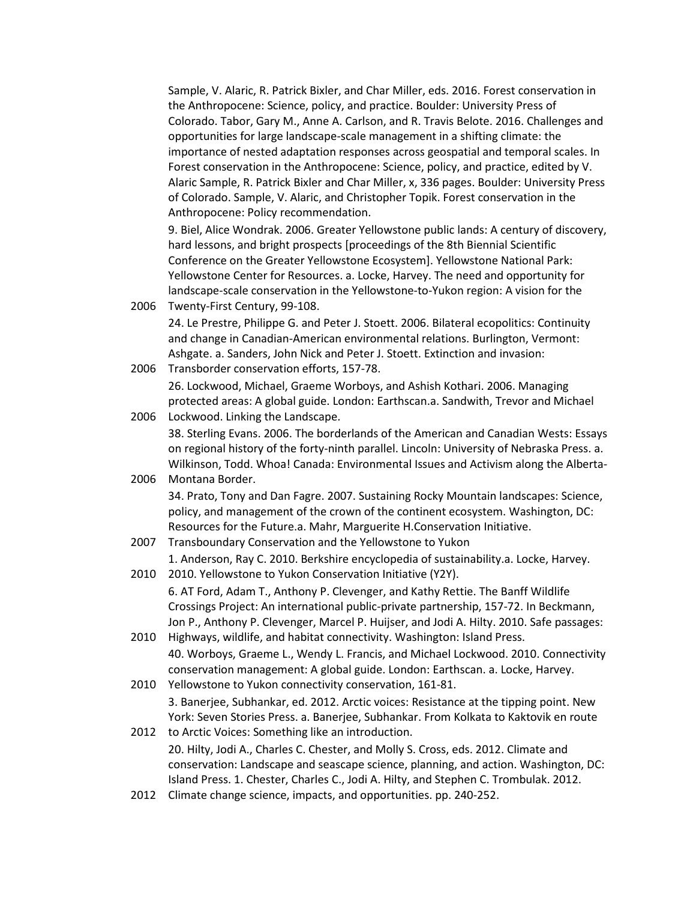Sample, V. Alaric, R. Patrick Bixler, and Char Miller, eds. 2016. Forest conservation in the Anthropocene: Science, policy, and practice. Boulder: University Press of Colorado. Tabor, Gary M., Anne A. Carlson, and R. Travis Belote. 2016. Challenges and opportunities for large landscape-scale management in a shifting climate: the importance of nested adaptation responses across geospatial and temporal scales. In Forest conservation in the Anthropocene: Science, policy, and practice, edited by V. Alaric Sample, R. Patrick Bixler and Char Miller, x, 336 pages. Boulder: University Press of Colorado. Sample, V. Alaric, and Christopher Topik. Forest conservation in the Anthropocene: Policy recommendation.

9. Biel, Alice Wondrak. 2006. Greater Yellowstone public lands: A century of discovery, hard lessons, and bright prospects [proceedings of the 8th Biennial Scientific Conference on the Greater Yellowstone Ecosystem]. Yellowstone National Park: Yellowstone Center for Resources. a. Locke, Harvey. The need and opportunity for landscape-scale conservation in the Yellowstone-to-Yukon region: A vision for the

2006 Twenty-First Century, 99-108.

24. Le Prestre, Philippe G. and Peter J. Stoett. 2006. Bilateral ecopolitics: Continuity and change in Canadian-American environmental relations. Burlington, Vermont: Ashgate. a. Sanders, John Nick and Peter J. Stoett. Extinction and invasion:

- 2006 Transborder conservation efforts, 157-78. 26. Lockwood, Michael, Graeme Worboys, and Ashish Kothari. 2006. Managing protected areas: A global guide. London: Earthscan.a. Sandwith, Trevor and Michael
- 2006 Lockwood. Linking the Landscape. 38. Sterling Evans. 2006. The borderlands of the American and Canadian Wests: Essays on regional history of the forty-ninth parallel. Lincoln: University of Nebraska Press. a. Wilkinson, Todd. Whoa! Canada: Environmental Issues and Activism along the Alberta-
- 2006 Montana Border. 2007 Transboundary Conservation and the Yellowstone to Yukon 34. Prato, Tony and Dan Fagre. 2007. Sustaining Rocky Mountain landscapes: Science, policy, and management of the crown of the continent ecosystem. Washington, DC: Resources for the Future.a. Mahr, Marguerite H.Conservation Initiative.

1. Anderson, Ray C. 2010. Berkshire encyclopedia of sustainability.a. Locke, Harvey.

- 2010 2010. Yellowstone to Yukon Conservation Initiative (Y2Y). 6. AT Ford, Adam T., Anthony P. Clevenger, and Kathy Rettie. The Banff Wildlife Crossings Project: An international public-private partnership, 157-72. In Beckmann, Jon P., Anthony P. Clevenger, Marcel P. Huijser, and Jodi A. Hilty. 2010. Safe passages:
- 2010 Highways, wildlife, and habitat connectivity. Washington: Island Press. 40. Worboys, Graeme L., Wendy L. Francis, and Michael Lockwood. 2010. Connectivity conservation management: A global guide. London: Earthscan. a. Locke, Harvey.
- 2010 Yellowstone to Yukon connectivity conservation, 161-81. 3. Banerjee, Subhankar, ed. 2012. Arctic voices: Resistance at the tipping point. New York: Seven Stories Press. a. Banerjee, Subhankar. From Kolkata to Kaktovik en route
- 2012 to Arctic Voices: Something like an introduction. 20. Hilty, Jodi A., Charles C. Chester, and Molly S. Cross, eds. 2012. Climate and conservation: Landscape and seascape science, planning, and action. Washington, DC: Island Press. 1. Chester, Charles C., Jodi A. Hilty, and Stephen C. Trombulak. 2012.
- 2012 Climate change science, impacts, and opportunities. pp. 240-252.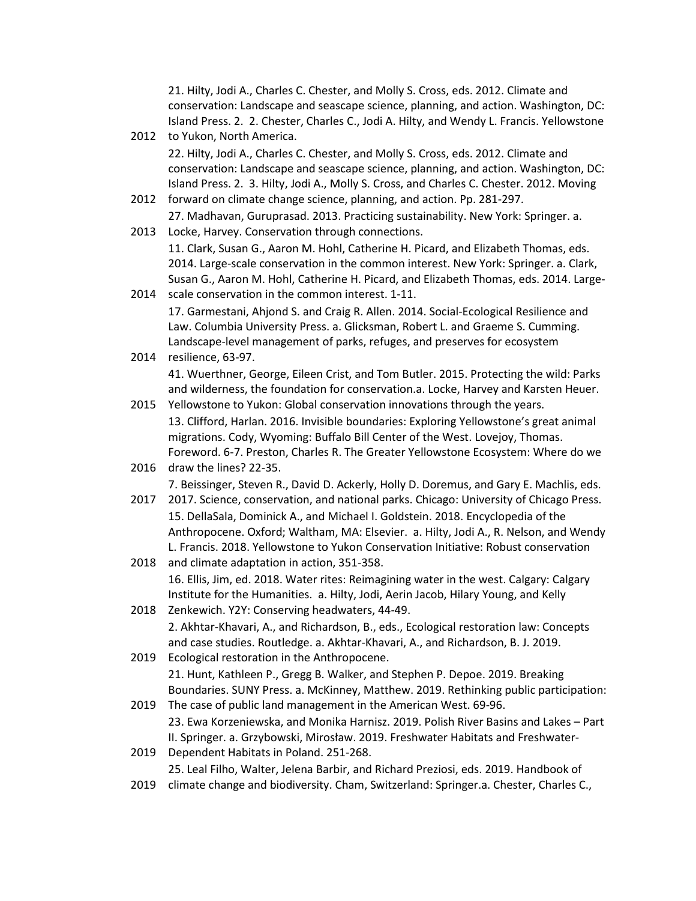21. Hilty, Jodi A., Charles C. Chester, and Molly S. Cross, eds. 2012. Climate and conservation: Landscape and seascape science, planning, and action. Washington, DC: Island Press. 2. 2. Chester, Charles C., Jodi A. Hilty, and Wendy L. Francis. Yellowstone

- 2012 to Yukon, North America. 22. Hilty, Jodi A., Charles C. Chester, and Molly S. Cross, eds. 2012. Climate and conservation: Landscape and seascape science, planning, and action. Washington, DC: Island Press. 2. 3. Hilty, Jodi A., Molly S. Cross, and Charles C. Chester. 2012. Moving
- 2012 forward on climate change science, planning, and action. Pp. 281-297. 27. Madhavan, Guruprasad. 2013. Practicing sustainability. New York: Springer. a.
- 2013 Locke, Harvey. Conservation through connections. 11. Clark, Susan G., Aaron M. Hohl, Catherine H. Picard, and Elizabeth Thomas, eds. 2014. Large-scale conservation in the common interest. New York: Springer. a. Clark, Susan G., Aaron M. Hohl, Catherine H. Picard, and Elizabeth Thomas, eds. 2014. Large-
- 2014 scale conservation in the common interest. 1-11. 17. Garmestani, Ahjond S. and Craig R. Allen. 2014. Social-Ecological Resilience and Law. Columbia University Press. a. Glicksman, Robert L. and Graeme S. Cumming. Landscape-level management of parks, refuges, and preserves for ecosystem
- 2014 resilience, 63-97. 41. Wuerthner, George, Eileen Crist, and Tom Butler. 2015. Protecting the wild: Parks and wilderness, the foundation for conservation.a. Locke, Harvey and Karsten Heuer.
- 2015 Yellowstone to Yukon: Global conservation innovations through the years. 13. Clifford, Harlan. 2016. Invisible boundaries: Exploring Yellowstone's great animal migrations. Cody, Wyoming: Buffalo Bill Center of the West. Lovejoy, Thomas. Foreword. 6-7. Preston, Charles R. The Greater Yellowstone Ecosystem: Where do we
- 2016 draw the lines? 22-35. 7. Beissinger, Steven R., David D. Ackerly, Holly D. Doremus, and Gary E. Machlis, eds.
- 2017 2017. Science, conservation, and national parks. Chicago: University of Chicago Press. 15. DellaSala, Dominick A., and Michael I. Goldstein. 2018. Encyclopedia of the Anthropocene. Oxford; Waltham, MA: Elsevier. a. Hilty, Jodi A., R. Nelson, and Wendy L. Francis. 2018. Yellowstone to Yukon Conservation Initiative: Robust conservation
- 2018 and climate adaptation in action, 351-358. 16. Ellis, Jim, ed. 2018. Water rites: Reimagining water in the west. Calgary: Calgary Institute for the Humanities. a. Hilty, Jodi, Aerin Jacob, Hilary Young, and Kelly
- 2018 Zenkewich. Y2Y: Conserving headwaters, 44-49. 2. Akhtar-Khavari, A., and Richardson, B., eds., Ecological restoration law: Concepts and case studies. Routledge. a. Akhtar-Khavari, A., and Richardson, B. J. 2019.
- 2019 Ecological restoration in the Anthropocene. 21. Hunt, Kathleen P., Gregg B. Walker, and Stephen P. Depoe. 2019. Breaking Boundaries. SUNY Press. a. McKinney, Matthew. 2019. Rethinking public participation:
- 2019 The case of public land management in the American West. 69-96. 23. Ewa Korzeniewska, and Monika Harnisz. 2019. Polish River Basins and Lakes – Part II. Springer. a. Grzybowski, Mirosław. 2019. Freshwater Habitats and Freshwater-
- 2019 Dependent Habitats in Poland. 251-268. 25. Leal Filho, Walter, Jelena Barbir, and Richard Preziosi, eds. 2019. Handbook of
- 2019 climate change and biodiversity. Cham, Switzerland: Springer.a. Chester, Charles C.,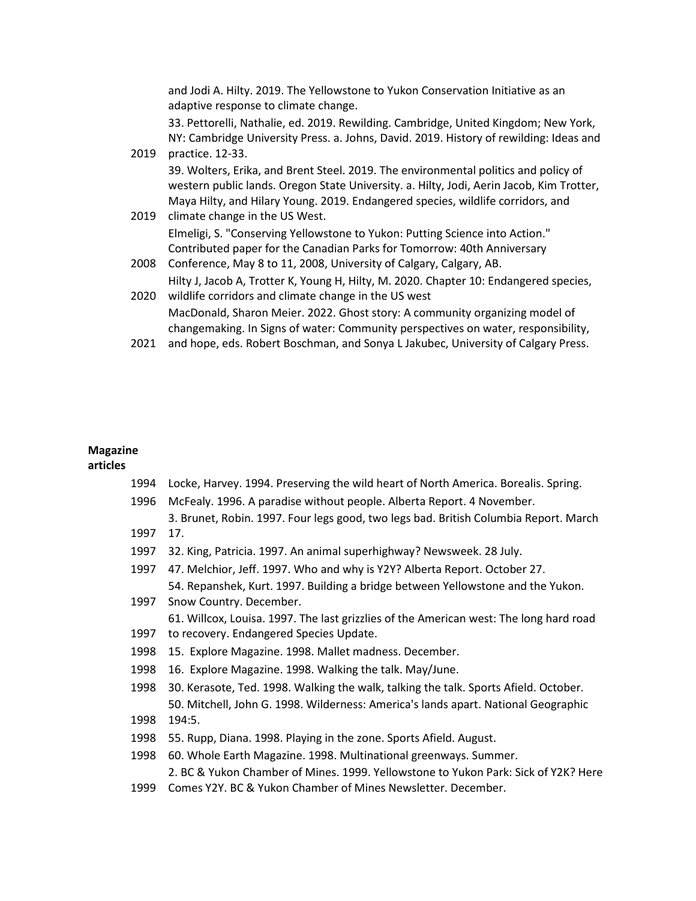and Jodi A. Hilty. 2019. The Yellowstone to Yukon Conservation Initiative as an adaptive response to climate change.

33. Pettorelli, Nathalie, ed. 2019. Rewilding. Cambridge, United Kingdom; New York, NY: Cambridge University Press. a. Johns, David. 2019. History of rewilding: Ideas and

- 2019 practice. 12-33. 2019 climate change in the US West. 39. Wolters, Erika, and Brent Steel. 2019. The environmental politics and policy of western public lands. Oregon State University. a. Hilty, Jodi, Aerin Jacob, Kim Trotter, Maya Hilty, and Hilary Young. 2019. Endangered species, wildlife corridors, and 2008 Conference, May 8 to 11, 2008, University of Calgary, Calgary, AB. Elmeligi, S. "Conserving Yellowstone to Yukon: Putting Science into Action." Contributed paper for the Canadian Parks for Tomorrow: 40th Anniversary 2020 wildlife corridors and climate change in the US west Hilty J, Jacob A, Trotter K, Young H, Hilty, M. 2020. Chapter 10: Endangered species,
- MacDonald, Sharon Meier. 2022. Ghost story: A community organizing model of changemaking. In Signs of water: Community perspectives on water, responsibility,
- 2021 and hope, eds. Robert Boschman, and Sonya L Jakubec, University of Calgary Press.

### **Magazine**

**articles**

- 1994 Locke, Harvey. 1994. Preserving the wild heart of North America. Borealis. Spring.
- 1996 McFealy. 1996. A paradise without people. Alberta Report. 4 November.
- 1997 17. 3. Brunet, Robin. 1997. Four legs good, two legs bad. British Columbia Report. March
- 1997 32. King, Patricia. 1997. An animal superhighway? Newsweek. 28 July.
- 1997 47. Melchior, Jeff. 1997. Who and why is Y2Y? Alberta Report. October 27. 54. Repanshek, Kurt. 1997. Building a bridge between Yellowstone and the Yukon.
- 1997 Snow Country. December. 61. Willcox, Louisa. 1997. The last grizzlies of the American west: The long hard road
- 1997 to recovery. Endangered Species Update.
- 1998 15. Explore Magazine. 1998. Mallet madness. December.
- 1998 16. Explore Magazine. 1998. Walking the talk. May/June.
- 1998 30. Kerasote, Ted. 1998. Walking the walk, talking the talk. Sports Afield. October. 50. Mitchell, John G. 1998. Wilderness: America's lands apart. National Geographic
- 1998 194:5.
- 1998 55. Rupp, Diana. 1998. Playing in the zone. Sports Afield. August.
- 1998 60. Whole Earth Magazine. 1998. Multinational greenways. Summer.

2. BC & Yukon Chamber of Mines. 1999. Yellowstone to Yukon Park: Sick of Y2K? Here

1999 Comes Y2Y. BC & Yukon Chamber of Mines Newsletter. December.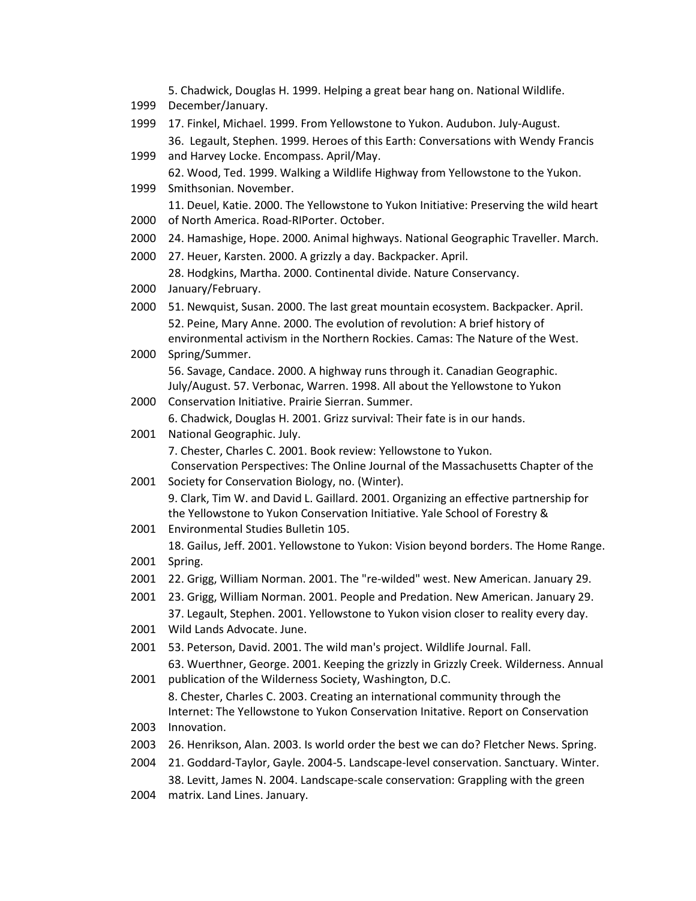5. Chadwick, Douglas H. 1999. Helping a great bear hang on. National Wildlife.

- 1999 December/January.
- 1999 17. Finkel, Michael. 1999. From Yellowstone to Yukon. Audubon. July-August. 36. Legault, Stephen. 1999. Heroes of this Earth: Conversations with Wendy Francis
- 1999 and Harvey Locke. Encompass. April/May. 62. Wood, Ted. 1999. Walking a Wildlife Highway from Yellowstone to the Yukon.
- 1999 Smithsonian. November. 11. Deuel, Katie. 2000. The Yellowstone to Yukon Initiative: Preserving the wild heart
- 2000 of North America. Road-RIPorter. October.
- 2000 24. Hamashige, Hope. 2000. Animal highways. National Geographic Traveller. March.
- 2000 27. Heuer, Karsten. 2000. A grizzly a day. Backpacker. April.

28. Hodgkins, Martha. 2000. Continental divide. Nature Conservancy.

- 2000 January/February.
- 2000 51. Newquist, Susan. 2000. The last great mountain ecosystem. Backpacker. April. 52. Peine, Mary Anne. 2000. The evolution of revolution: A brief history of environmental activism in the Northern Rockies. Camas: The Nature of the West.
- 2000 Spring/Summer. 56. Savage, Candace. 2000. A highway runs through it. Canadian Geographic. July/August. 57. Verbonac, Warren. 1998. All about the Yellowstone to Yukon
- 2000 Conservation Initiative. Prairie Sierran. Summer. 6. Chadwick, Douglas H. 2001. Grizz survival: Their fate is in our hands.
- 2001 National Geographic. July. 7. Chester, Charles C. 2001. Book review: Yellowstone to Yukon. Conservation Perspectives: The Online Journal of the Massachusetts Chapter of the
- 2001 Society for Conservation Biology, no. (Winter). 9. Clark, Tim W. and David L. Gaillard. 2001. Organizing an effective partnership for the Yellowstone to Yukon Conservation Initiative. Yale School of Forestry &
- 2001 Environmental Studies Bulletin 105.

2001 Spring. 18. Gailus, Jeff. 2001. Yellowstone to Yukon: Vision beyond borders. The Home Range.

- 2001 22. Grigg, William Norman. 2001. The "re-wilded" west. New American. January 29.
- 2001 23. Grigg, William Norman. 2001. People and Predation. New American. January 29.
- 2001 Wild Lands Advocate. June. 37. Legault, Stephen. 2001. Yellowstone to Yukon vision closer to reality every day.
- 2001 53. Peterson, David. 2001. The wild man's project. Wildlife Journal. Fall.
- 2001 publication of the Wilderness Society, Washington, D.C. 63. Wuerthner, George. 2001. Keeping the grizzly in Grizzly Creek. Wilderness. Annual 8. Chester, Charles C. 2003. Creating an international community through the

2003 Innovation. Internet: The Yellowstone to Yukon Conservation Initative. Report on Conservation

- 2003 26. Henrikson, Alan. 2003. Is world order the best we can do? Fletcher News. Spring.
- 2004 21. Goddard-Taylor, Gayle. 2004-5. Landscape-level conservation. Sanctuary. Winter. 38. Levitt, James N. 2004. Landscape-scale conservation: Grappling with the green
- 2004 matrix. Land Lines. January.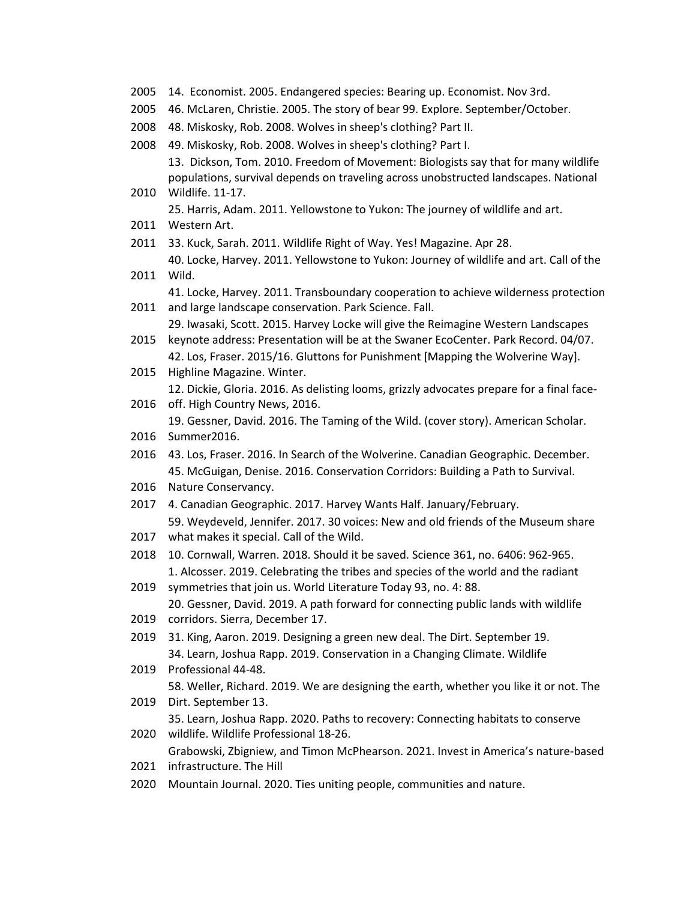- 14. Economist. 2005. Endangered species: Bearing up. Economist. Nov 3rd.
- 46. McLaren, Christie. 2005. The story of bear 99. Explore. September/October.
- 48. Miskosky, Rob. 2008. Wolves in sheep's clothing? Part II.
- 49. Miskosky, Rob. 2008. Wolves in sheep's clothing? Part I.

 Wildlife. 11-17. 13. Dickson, Tom. 2010. Freedom of Movement: Biologists say that for many wildlife populations, survival depends on traveling across unobstructed landscapes. National

- 25. Harris, Adam. 2011. Yellowstone to Yukon: The journey of wildlife and art.
- Western Art.
- 33. Kuck, Sarah. 2011. Wildlife Right of Way. Yes! Magazine. Apr 28.
- Wild. 40. Locke, Harvey. 2011. Yellowstone to Yukon: Journey of wildlife and art. Call of the

41. Locke, Harvey. 2011. Transboundary cooperation to achieve wilderness protection

- and large landscape conservation. Park Science. Fall. 29. Iwasaki, Scott. 2015. Harvey Locke will give the Reimagine Western Landscapes
- keynote address: Presentation will be at the Swaner EcoCenter. Park Record. 04/07. 42. Los, Fraser. 2015/16. Gluttons for Punishment [Mapping the Wolverine Way].
- Highline Magazine. Winter. 12. Dickie, Gloria. 2016. As delisting looms, grizzly advocates prepare for a final face-
- off. High Country News, 2016.

19. Gessner, David. 2016. The Taming of the Wild. (cover story). American Scholar.

- Summer2016.
- 43. Los, Fraser. 2016. In Search of the Wolverine. Canadian Geographic. December. 45. McGuigan, Denise. 2016. Conservation Corridors: Building a Path to Survival.
- Nature Conservancy.
- 4. Canadian Geographic. 2017. Harvey Wants Half. January/February. 59. Weydeveld, Jennifer. 2017. 30 voices: New and old friends of the Museum share
- what makes it special. Call of the Wild.
- 10. Cornwall, Warren. 2018. Should it be saved. Science 361, no. 6406: 962-965. 1. Alcosser. 2019. Celebrating the tribes and species of the world and the radiant
- symmetries that join us. World Literature Today 93, no. 4: 88. 20. Gessner, David. 2019. A path forward for connecting public lands with wildlife
- corridors. Sierra, December 17.
- 31. King, Aaron. 2019. Designing a green new deal. The Dirt. September 19. 34. Learn, Joshua Rapp. 2019. Conservation in a Changing Climate. Wildlife
- Professional 44-48.

58. Weller, Richard. 2019. We are designing the earth, whether you like it or not. The

- Dirt. September 13. 35. Learn, Joshua Rapp. 2020. Paths to recovery: Connecting habitats to conserve
- wildlife. Wildlife Professional 18-26. Grabowski, Zbigniew, and Timon McPhearson. 2021. Invest in America's nature-based
- infrastructure. The Hill
- Mountain Journal. 2020. Ties uniting people, communities and nature.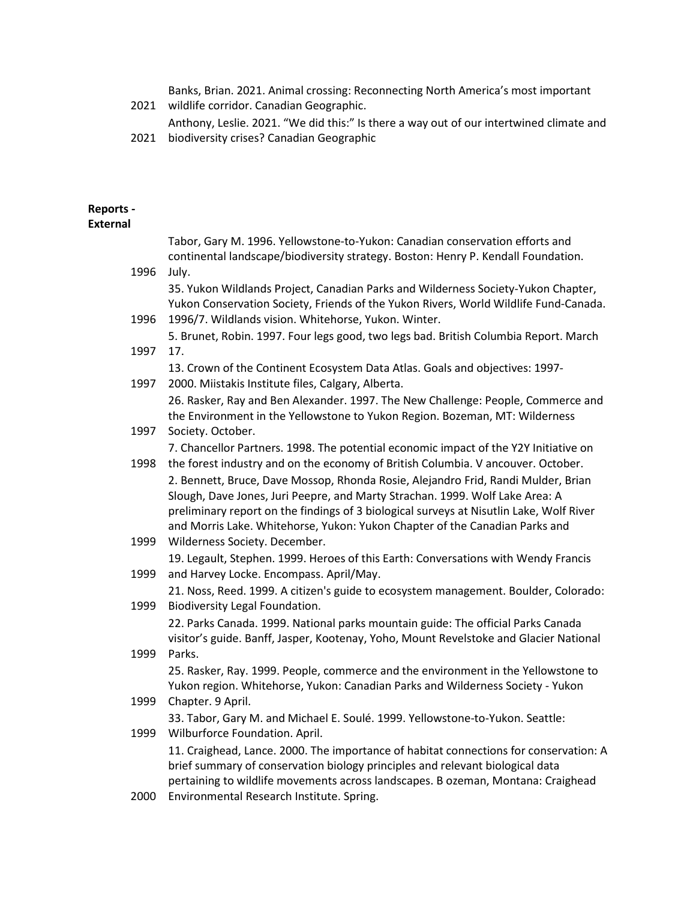2021 wildlife corridor. Canadian Geographic. Banks, Brian. 2021. Animal crossing: Reconnecting North America's most important

- Anthony, Leslie. 2021. "We did this:" Is there a way out of our intertwined climate and
- 2021 biodiversity crises? Canadian Geographic

# **Reports -**

### **External**

| 1996 | Tabor, Gary M. 1996. Yellowstone-to-Yukon: Canadian conservation efforts and<br>continental landscape/biodiversity strategy. Boston: Henry P. Kendall Foundation.<br>July.                                                                                                                                                                  |
|------|---------------------------------------------------------------------------------------------------------------------------------------------------------------------------------------------------------------------------------------------------------------------------------------------------------------------------------------------|
| 1996 | 35. Yukon Wildlands Project, Canadian Parks and Wilderness Society-Yukon Chapter,<br>Yukon Conservation Society, Friends of the Yukon Rivers, World Wildlife Fund-Canada.<br>1996/7. Wildlands vision. Whitehorse, Yukon. Winter.                                                                                                           |
| 1997 | 5. Brunet, Robin. 1997. Four legs good, two legs bad. British Columbia Report. March<br>17.                                                                                                                                                                                                                                                 |
| 1997 | 13. Crown of the Continent Ecosystem Data Atlas. Goals and objectives: 1997-<br>2000. Miistakis Institute files, Calgary, Alberta.                                                                                                                                                                                                          |
| 1997 | 26. Rasker, Ray and Ben Alexander. 1997. The New Challenge: People, Commerce and<br>the Environment in the Yellowstone to Yukon Region. Bozeman, MT: Wilderness<br>Society. October.                                                                                                                                                        |
| 1998 | 7. Chancellor Partners. 1998. The potential economic impact of the Y2Y Initiative on<br>the forest industry and on the economy of British Columbia. V ancouver. October.                                                                                                                                                                    |
|      | 2. Bennett, Bruce, Dave Mossop, Rhonda Rosie, Alejandro Frid, Randi Mulder, Brian<br>Slough, Dave Jones, Juri Peepre, and Marty Strachan. 1999. Wolf Lake Area: A<br>preliminary report on the findings of 3 biological surveys at Nisutlin Lake, Wolf River<br>and Morris Lake. Whitehorse, Yukon: Yukon Chapter of the Canadian Parks and |
| 1999 | Wilderness Society. December.                                                                                                                                                                                                                                                                                                               |
| 1999 | 19. Legault, Stephen. 1999. Heroes of this Earth: Conversations with Wendy Francis<br>and Harvey Locke. Encompass. April/May.                                                                                                                                                                                                               |
| 1999 | 21. Noss, Reed. 1999. A citizen's guide to ecosystem management. Boulder, Colorado:<br>Biodiversity Legal Foundation.                                                                                                                                                                                                                       |
|      | 22. Parks Canada. 1999. National parks mountain guide: The official Parks Canada<br>visitor's guide. Banff, Jasper, Kootenay, Yoho, Mount Revelstoke and Glacier National                                                                                                                                                                   |
| 1999 | Parks.<br>25. Rasker, Ray. 1999. People, commerce and the environment in the Yellowstone to<br>Yukon region. Whitehorse, Yukon: Canadian Parks and Wilderness Society - Yukon                                                                                                                                                               |
| 1999 | Chapter. 9 April.                                                                                                                                                                                                                                                                                                                           |
| 1999 | 33. Tabor, Gary M. and Michael E. Soulé. 1999. Yellowstone-to-Yukon. Seattle:<br>Wilburforce Foundation. April.                                                                                                                                                                                                                             |
|      | 11. Craighead, Lance. 2000. The importance of habitat connections for conservation: A<br>brief summary of conservation biology principles and relevant biological data<br>pertaining to wildlife movements across landscapes. B ozeman, Montana: Craighead                                                                                  |
| 2000 | Environmental Research Institute. Spring.                                                                                                                                                                                                                                                                                                   |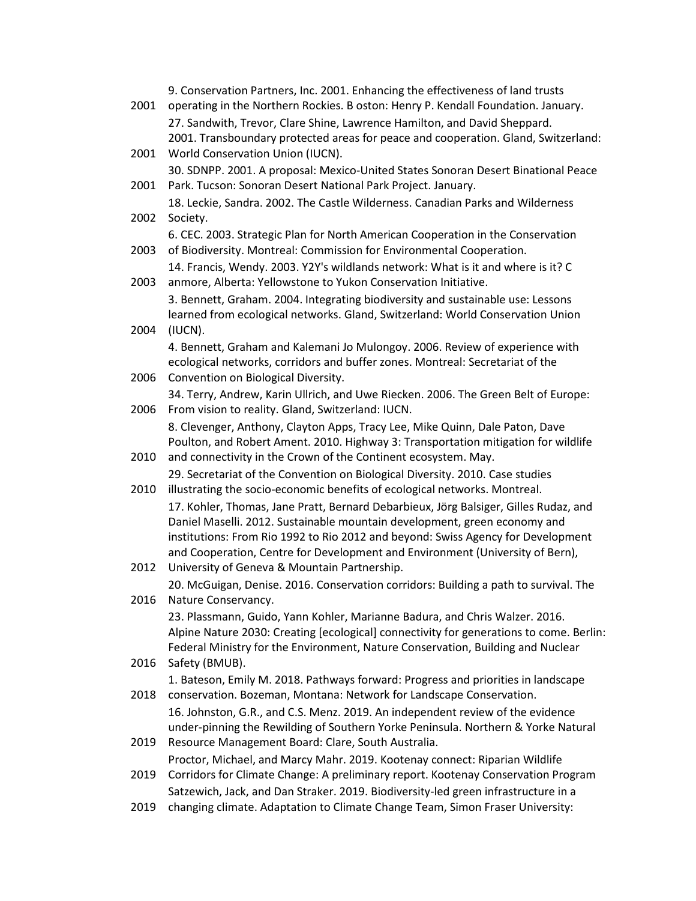| 2001 | 9. Conservation Partners, Inc. 2001. Enhancing the effectiveness of land trusts<br>operating in the Northern Rockies. B oston: Henry P. Kendall Foundation. January.<br>27. Sandwith, Trevor, Clare Shine, Lawrence Hamilton, and David Sheppard.                                                                                      |
|------|----------------------------------------------------------------------------------------------------------------------------------------------------------------------------------------------------------------------------------------------------------------------------------------------------------------------------------------|
| 2001 | 2001. Transboundary protected areas for peace and cooperation. Gland, Switzerland:<br>World Conservation Union (IUCN).                                                                                                                                                                                                                 |
| 2001 | 30. SDNPP. 2001. A proposal: Mexico-United States Sonoran Desert Binational Peace<br>Park. Tucson: Sonoran Desert National Park Project. January.                                                                                                                                                                                      |
| 2002 | 18. Leckie, Sandra. 2002. The Castle Wilderness. Canadian Parks and Wilderness<br>Society.                                                                                                                                                                                                                                             |
| 2003 | 6. CEC. 2003. Strategic Plan for North American Cooperation in the Conservation<br>of Biodiversity. Montreal: Commission for Environmental Cooperation.                                                                                                                                                                                |
| 2003 | 14. Francis, Wendy. 2003. Y2Y's wildlands network: What is it and where is it? C<br>anmore, Alberta: Yellowstone to Yukon Conservation Initiative.                                                                                                                                                                                     |
|      | 3. Bennett, Graham. 2004. Integrating biodiversity and sustainable use: Lessons<br>learned from ecological networks. Gland, Switzerland: World Conservation Union                                                                                                                                                                      |
| 2004 | (IUCN).<br>4. Bennett, Graham and Kalemani Jo Mulongoy. 2006. Review of experience with                                                                                                                                                                                                                                                |
| 2006 | ecological networks, corridors and buffer zones. Montreal: Secretariat of the<br>Convention on Biological Diversity.                                                                                                                                                                                                                   |
| 2006 | 34. Terry, Andrew, Karin Ullrich, and Uwe Riecken. 2006. The Green Belt of Europe:<br>From vision to reality. Gland, Switzerland: IUCN.                                                                                                                                                                                                |
|      | 8. Clevenger, Anthony, Clayton Apps, Tracy Lee, Mike Quinn, Dale Paton, Dave<br>Poulton, and Robert Ament. 2010. Highway 3: Transportation mitigation for wildlife                                                                                                                                                                     |
| 2010 | and connectivity in the Crown of the Continent ecosystem. May.<br>29. Secretariat of the Convention on Biological Diversity. 2010. Case studies                                                                                                                                                                                        |
| 2010 | illustrating the socio-economic benefits of ecological networks. Montreal.                                                                                                                                                                                                                                                             |
|      | 17. Kohler, Thomas, Jane Pratt, Bernard Debarbieux, Jörg Balsiger, Gilles Rudaz, and<br>Daniel Maselli. 2012. Sustainable mountain development, green economy and<br>institutions: From Rio 1992 to Rio 2012 and beyond: Swiss Agency for Development<br>and Cooperation, Centre for Development and Environment (University of Bern), |
| 2012 | University of Geneva & Mountain Partnership.                                                                                                                                                                                                                                                                                           |
| 2016 | 20. McGuigan, Denise. 2016. Conservation corridors: Building a path to survival. The<br>Nature Conservancy.                                                                                                                                                                                                                            |
|      | 23. Plassmann, Guido, Yann Kohler, Marianne Badura, and Chris Walzer. 2016.<br>Alpine Nature 2030: Creating [ecological] connectivity for generations to come. Berlin:<br>Federal Ministry for the Environment, Nature Conservation, Building and Nuclear                                                                              |

### 2016 Safety (BMUB). 1. Bateson, Emily M. 2018. Pathways forward: Progress and priorities in landscape

- 2018 conservation. Bozeman, Montana: Network for Landscape Conservation. 16. Johnston, G.R., and C.S. Menz. 2019. An independent review of the evidence under-pinning the Rewilding of Southern Yorke Peninsula. Northern & Yorke Natural
- 2019 Resource Management Board: Clare, South Australia. Proctor, Michael, and Marcy Mahr. 2019. Kootenay connect: Riparian Wildlife
- 2019 Corridors for Climate Change: A preliminary report. Kootenay Conservation Program Satzewich, Jack, and Dan Straker. 2019. Biodiversity-led green infrastructure in a
- 2019 changing climate. Adaptation to Climate Change Team, Simon Fraser University: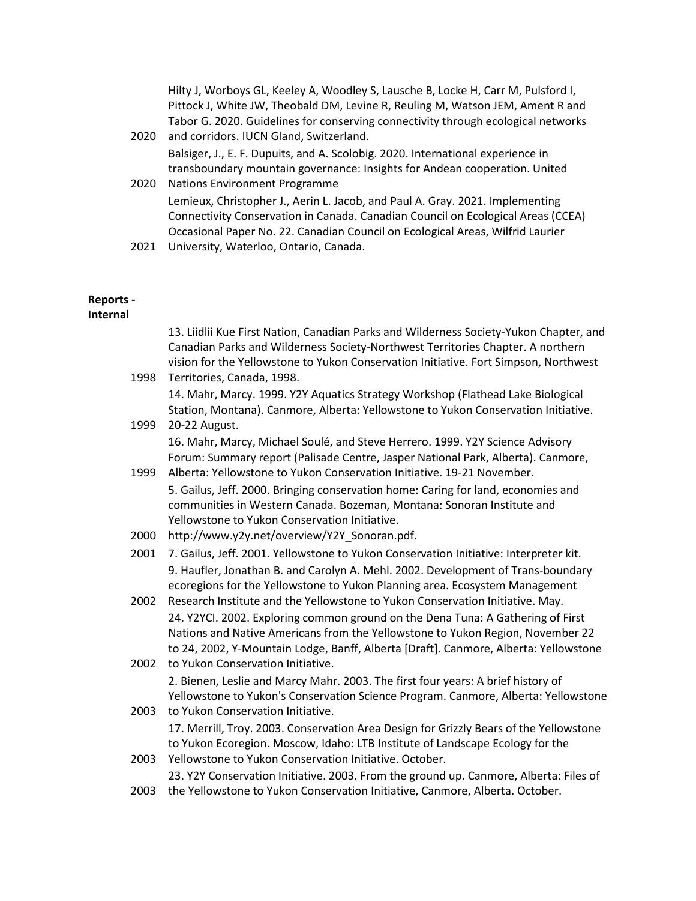Hilty J, Worboys GL, Keeley A, Woodley S, Lausche B, Locke H, Carr M, Pulsford I, Pittock J, White JW, Theobald DM, Levine R, Reuling M, Watson JEM, Ament R and Tabor G. 2020. Guidelines for conserving connectivity through ecological networks

2020 and corridors. IUCN Gland, Switzerland. 2020 Nations Environment Programme Balsiger, J., E. F. Dupuits, and A. Scolobig. 2020. International experience in transboundary mountain governance: Insights for Andean cooperation. United

Lemieux, Christopher J., Aerin L. Jacob, and Paul A. Gray. 2021. Implementing Connectivity Conservation in Canada. Canadian Council on Ecological Areas (CCEA) Occasional Paper No. 22. Canadian Council on Ecological Areas, Wilfrid Laurier

2021 University, Waterloo, Ontario, Canada.

### **Reports -**

**Internal**

|      | 13. Liidlii Kue First Nation, Canadian Parks and Wilderness Society-Yukon Chapter, and<br>Canadian Parks and Wilderness Society-Northwest Territories Chapter. A northern<br>vision for the Yellowstone to Yukon Conservation Initiative. Fort Simpson, Northwest |
|------|-------------------------------------------------------------------------------------------------------------------------------------------------------------------------------------------------------------------------------------------------------------------|
| 1998 | Territories, Canada, 1998.                                                                                                                                                                                                                                        |
|      | 14. Mahr, Marcy. 1999. Y2Y Aquatics Strategy Workshop (Flathead Lake Biological                                                                                                                                                                                   |
| 1999 | Station, Montana). Canmore, Alberta: Yellowstone to Yukon Conservation Initiative.<br>20-22 August.                                                                                                                                                               |
|      | 16. Mahr, Marcy, Michael Soulé, and Steve Herrero. 1999. Y2Y Science Advisory                                                                                                                                                                                     |
| 1999 | Forum: Summary report (Palisade Centre, Jasper National Park, Alberta). Canmore,<br>Alberta: Yellowstone to Yukon Conservation Initiative. 19-21 November.                                                                                                        |
|      | 5. Gailus, Jeff. 2000. Bringing conservation home: Caring for land, economies and<br>communities in Western Canada. Bozeman, Montana: Sonoran Institute and<br>Yellowstone to Yukon Conservation Initiative.                                                      |
| 2000 | http://www.y2y.net/overview/Y2Y_Sonoran.pdf.                                                                                                                                                                                                                      |
| 2001 | 7. Gailus, Jeff. 2001. Yellowstone to Yukon Conservation Initiative: Interpreter kit.                                                                                                                                                                             |
| 2002 | 9. Haufler, Jonathan B. and Carolyn A. Mehl. 2002. Development of Trans-boundary<br>ecoregions for the Yellowstone to Yukon Planning area. Ecosystem Management<br>Research Institute and the Yellowstone to Yukon Conservation Initiative. May.                  |
|      | 24. Y2YCI. 2002. Exploring common ground on the Dena Tuna: A Gathering of First<br>Nations and Native Americans from the Yellowstone to Yukon Region, November 22<br>to 24, 2002, Y-Mountain Lodge, Banff, Alberta [Draft]. Canmore, Alberta: Yellowstone         |
| 2002 | to Yukon Conservation Initiative.                                                                                                                                                                                                                                 |
| 2003 | 2. Bienen, Leslie and Marcy Mahr. 2003. The first four years: A brief history of<br>Yellowstone to Yukon's Conservation Science Program. Canmore, Alberta: Yellowstone<br>to Yukon Conservation Initiative.                                                       |
|      | 17. Merrill, Troy. 2003. Conservation Area Design for Grizzly Bears of the Yellowstone                                                                                                                                                                            |
|      | to Yukon Ecoregion. Moscow, Idaho: LTB Institute of Landscape Ecology for the                                                                                                                                                                                     |
| 2003 | Yellowstone to Yukon Conservation Initiative. October.                                                                                                                                                                                                            |
|      | 23. Y2Y Conservation Initiative. 2003. From the ground up. Canmore, Alberta: Files of                                                                                                                                                                             |
| 2003 | the Yellowstone to Yukon Conservation Initiative, Canmore, Alberta. October.                                                                                                                                                                                      |
|      |                                                                                                                                                                                                                                                                   |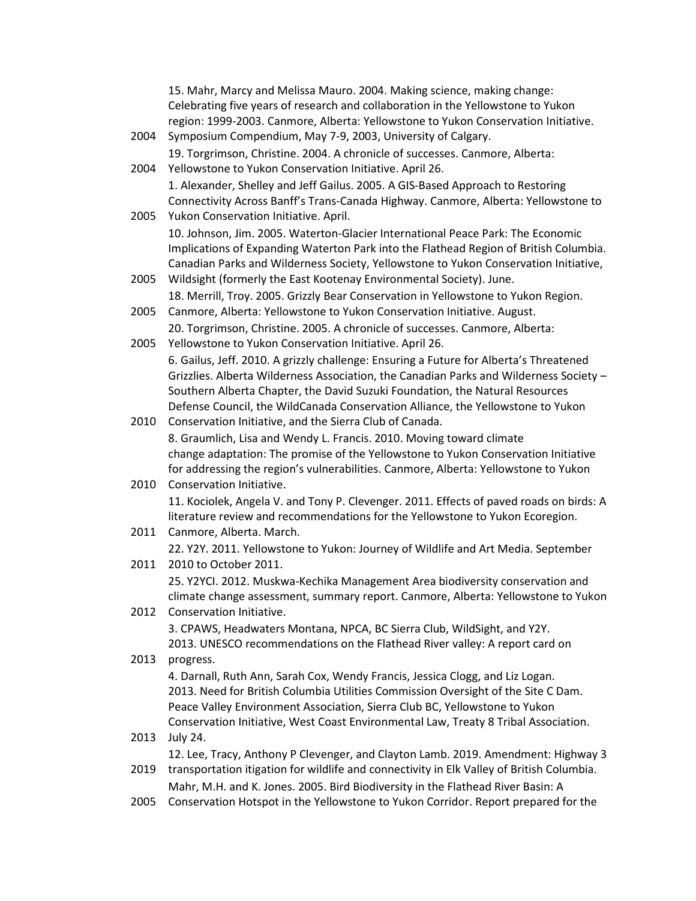|      | 15. Mahr, Marcy and Melissa Mauro. 2004. Making science, making change:                                                                                                |
|------|------------------------------------------------------------------------------------------------------------------------------------------------------------------------|
|      | Celebrating five years of research and collaboration in the Yellowstone to Yukon                                                                                       |
|      | region: 1999-2003. Canmore, Alberta: Yellowstone to Yukon Conservation Initiative.                                                                                     |
| 2004 | Symposium Compendium, May 7-9, 2003, University of Calgary.                                                                                                            |
|      | 19. Torgrimson, Christine. 2004. A chronicle of successes. Canmore, Alberta:                                                                                           |
| 2004 | Yellowstone to Yukon Conservation Initiative. April 26.                                                                                                                |
|      | 1. Alexander, Shelley and Jeff Gailus. 2005. A GIS-Based Approach to Restoring                                                                                         |
|      | Connectivity Across Banff's Trans-Canada Highway. Canmore, Alberta: Yellowstone to                                                                                     |
| 2005 | Yukon Conservation Initiative. April.                                                                                                                                  |
|      | 10. Johnson, Jim. 2005. Waterton-Glacier International Peace Park: The Economic                                                                                        |
|      | Implications of Expanding Waterton Park into the Flathead Region of British Columbia.                                                                                  |
|      | Canadian Parks and Wilderness Society, Yellowstone to Yukon Conservation Initiative,                                                                                   |
| 2005 | Wildsight (formerly the East Kootenay Environmental Society). June.                                                                                                    |
|      | 18. Merrill, Troy. 2005. Grizzly Bear Conservation in Yellowstone to Yukon Region.                                                                                     |
| 2005 | Canmore, Alberta: Yellowstone to Yukon Conservation Initiative. August.                                                                                                |
|      | 20. Torgrimson, Christine. 2005. A chronicle of successes. Canmore, Alberta:                                                                                           |
| 2005 | Yellowstone to Yukon Conservation Initiative. April 26.                                                                                                                |
|      | 6. Gailus, Jeff. 2010. A grizzly challenge: Ensuring a Future for Alberta's Threatened                                                                                 |
|      | Grizzlies. Alberta Wilderness Association, the Canadian Parks and Wilderness Society -<br>Southern Alberta Chapter, the David Suzuki Foundation, the Natural Resources |
|      | Defense Council, the WildCanada Conservation Alliance, the Yellowstone to Yukon                                                                                        |
| 2010 | Conservation Initiative, and the Sierra Club of Canada.                                                                                                                |
|      | 8. Graumlich, Lisa and Wendy L. Francis. 2010. Moving toward climate                                                                                                   |
|      | change adaptation: The promise of the Yellowstone to Yukon Conservation Initiative                                                                                     |
|      | for addressing the region's vulnerabilities. Canmore, Alberta: Yellowstone to Yukon                                                                                    |
| 2010 | Conservation Initiative.                                                                                                                                               |
|      | 11. Kociolek, Angela V. and Tony P. Clevenger. 2011. Effects of paved roads on birds: A                                                                                |
|      | literature review and recommendations for the Yellowstone to Yukon Ecoregion.                                                                                          |
| 2011 | Canmore, Alberta. March.                                                                                                                                               |
|      | 22. Y2Y. 2011. Yellowstone to Yukon: Journey of Wildlife and Art Media. September                                                                                      |
| 2011 | 2010 to October 2011.                                                                                                                                                  |
|      | 25. Y2YCI. 2012. Muskwa-Kechika Management Area biodiversity conservation and                                                                                          |
|      | climate change assessment, summary report. Canmore, Alberta: Yellowstone to Yukon                                                                                      |
| 2012 | Conservation Initiative.                                                                                                                                               |
|      | 3. CPAWS, Headwaters Montana, NPCA, BC Sierra Club, WildSight, and Y2Y.                                                                                                |
|      | 2013. UNESCO recommendations on the Flathead River valley: A report card on                                                                                            |
| 2013 | progress.                                                                                                                                                              |
|      | 4. Darnall, Ruth Ann, Sarah Cox, Wendy Francis, Jessica Clogg, and Liz Logan.<br>2013. Need for British Columbia Utilities Commission Oversight of the Site C Dam.     |
|      | Peace Valley Environment Association, Sierra Club BC, Yellowstone to Yukon                                                                                             |
|      | Conservation Initiative, West Coast Environmental Law, Treaty 8 Tribal Association.                                                                                    |
| 2013 | <b>July 24.</b>                                                                                                                                                        |
|      | 12. Lee, Tracy, Anthony P Clevenger, and Clayton Lamb. 2019. Amendment: Highway 3                                                                                      |
| 2019 | transportation itigation for wildlife and connectivity in Elk Valley of British Columbia.                                                                              |
|      | Mahr, M.H. and K. Jones. 2005. Bird Biodiversity in the Flathead River Basin: A                                                                                        |
| 2005 | Conservation Hotspot in the Yellowstone to Yukon Corridor. Report prepared for the                                                                                     |
|      |                                                                                                                                                                        |